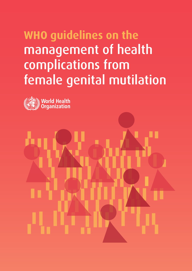# **WHO guidelines on the** management of health complications from female genital mutilation



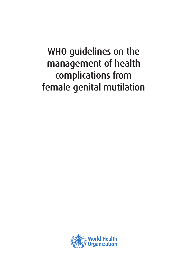# WHO guidelines on the management of health complications from female genital mutilation

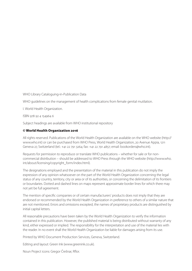WHO Library Cataloguing-in-Publication Data

WHO guidelines on the management of health complications from female genital mutilation.

I. World Health Organization.

ISBN 978 92 4 154964 6

Subject headings are available from WHO institutional repository

## © World Health Organization 2016

All rights reserved. Publications of the World Health Organization are available on the WHO website (http:// www.who.int) or can be purchased from WHO Press, World Health Organization, 20 Avenue Appia, 1211 Geneva 27, Switzerland (tel.: +41 22 791 3264; fax: +41 22 791 4857; email: bookorders@who.int).

Requests for permission to reproduce or translate WHO publications – whether for sale or for noncommercial distribution – should be addressed to WHO Press through the WHO website (http://www.who. int/about/licensing/copyright\_form/index.html).

The designations employed and the presentation of the material in this publication do not imply the expression of any opinion whatsoever on the part of the World Health Organization concerning the legal status of any country, territory, city or area or of its authorities, or concerning the delimitation of its frontiers or boundaries. Dotted and dashed lines on maps represent approximate border lines for which there may not yet be full agreement.

The mention of specific companies or of certain manufacturers' products does not imply that they are endorsed or recommended by the World Health Organization in preference to others of a similar nature that are not mentioned. Errors and omissions excepted, the names of proprietary products are distinguished by initial capital letters.

All reasonable precautions have been taken by the World Health Organization to verify the information contained in this publication. However, the published material is being distributed without warranty of any kind, either expressed or implied. The responsibility for the interpretation and use of the material lies with the reader. In no event shall the World Health Organization be liable for damages arising from its use.

Printed by WHO Document Production Services, Geneva, Switzerland.

Editing and layout: Green Ink (www.greenink.co.uk).

Noun Project icons: Gregor Črešnar, Rflor.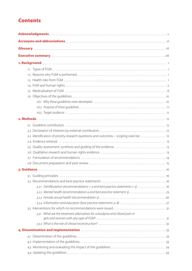# **Contents**

| 1.1 |                                                                                      |  |  |
|-----|--------------------------------------------------------------------------------------|--|--|
| 1.2 |                                                                                      |  |  |
| 1.3 |                                                                                      |  |  |
|     |                                                                                      |  |  |
| 1.5 |                                                                                      |  |  |
|     |                                                                                      |  |  |
|     |                                                                                      |  |  |
|     |                                                                                      |  |  |
|     |                                                                                      |  |  |
|     |                                                                                      |  |  |
| 2.1 |                                                                                      |  |  |
|     |                                                                                      |  |  |
|     | 2.3 Identification of priority research questions and outcomes - scoping exercise 12 |  |  |
|     |                                                                                      |  |  |
|     |                                                                                      |  |  |
|     |                                                                                      |  |  |
|     |                                                                                      |  |  |
|     |                                                                                      |  |  |
|     |                                                                                      |  |  |
|     |                                                                                      |  |  |
|     |                                                                                      |  |  |
|     | 3.2.1 Deinfibulation (recommendations 1-3 and best practice statements 1-2)  16      |  |  |
|     |                                                                                      |  |  |
|     |                                                                                      |  |  |
|     |                                                                                      |  |  |
|     |                                                                                      |  |  |
|     | 3.3.1 What are the treatment alternatives for vulvodynia and clitoral pain in        |  |  |
|     |                                                                                      |  |  |
|     |                                                                                      |  |  |
|     |                                                                                      |  |  |
| 4.1 |                                                                                      |  |  |
|     |                                                                                      |  |  |
|     |                                                                                      |  |  |
|     |                                                                                      |  |  |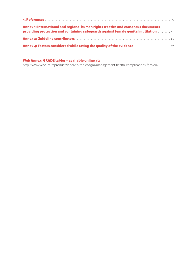| Annex 1: International and regional human rights treaties and consensus documents<br>providing protection and containing safeguards against female genital mutilation manuscription                                                  |
|--------------------------------------------------------------------------------------------------------------------------------------------------------------------------------------------------------------------------------------|
|                                                                                                                                                                                                                                      |
| <b>Annex 4: Factors considered while rating the quality of the evidence manufactor and Annex 47 and Annex 47 annex 47 annex 47 annex 47 annex 47 annex 47 annex 47 annex 47 annex 47 annex 47 annex 47 annex 47 annex 47 annex 4</b> |

# Web Annex: GRADE tables – available online at:

http://www.who.int/reproductivehealth/topics/fgm/management-health-complications-fgm/en/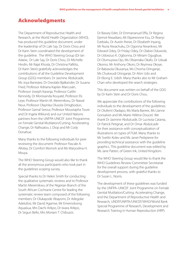# Acknowledgments

The Department of Reproductive Health and Research, at the World Health Organization (WHO), has produced this guideline document, under the leadership of Dr Lale Say. Dr Doris Chou and Dr Karin Stein coordinated the development of the guideline. The WHO Steering Group (Dr Ian Askew, Dr Lale Say, Dr Doris Chou, Dr Michelle Hindin, Mr Rajat Khosla, Dr Christina Pallitto, Dr Karin Stein) gratefully acknowledges the contributions of all the Guideline Development Group (GDG) members: Dr Jasmine Abdulcadir, Ms Joya Banerjee, Dr Owolabi Bjalkander, Dr Susana Fried, Professor Adriana Kaplan Marcusán, Professor Joseph Karanja, Professor Caitlin Kennedy, Dr Morissanda Kouyaté, Professor Els Leye, Professor Martin M. Meremikwu, Dr Nawal Nour, Professor Olayinka Olusola Omigbodun, Professor Gamal Serour, Professor Moustapha Toure and Dr Ingela Wiklund; and our United Nations partners from the UNFPA-UNICEF Joint Programme, on Female Genital Mutilation/Cutting: Accelerating Change, Dr Nafissatou J. Diop and Mr Cody Donahue.

Many thanks to the following individuals for peer reviewing the document: Professor Pascale A. Allotey, Dr Comfort Momoh and Ms Marycelina H. Msuya.

The WHO Steering Group would also like to thank all the anonymous participants who took part in the guidelines scoping survey.

Special thanks to Dr Helen Smith for conducting the qualitative systematic reviews and to Professor Martin Meremikwu of the Nigerian Branch of the South African Cochrane Centre for leading the systematic review team composed of the following members: Dr Olukayode Abayomi, Dr Adegoke Adelufosi, Mr David Agamse, Mr Ememobong Aquaisua, Mrs Dachi Arikpo, Dr Iwara Arikpo, Dr Segun Bello, Mrs Moriam T. Chibuzor,

Dr Bassey Edet, Dr Emmananuel Effa, Dr Regina Ejemot-Nwadiaro, Mr Ekpereonne Esu, Dr Ifeanyi Ezebialu, Dr Austin Ihesie, Dr Elizabeth Inyang, Mr Nuria Nwachuku, Dr Ogonna Nwankwo, Mr Edward Odey, Dr Friday Odey, Dr Olabisi Oduwole, Dr Udoezuo K. Ogbonna, Dr Miriam Ogugbue, Dr Olumuyiwa Ojo, Ms Obiamaka Okafo, Dr Uduak Okomo, Mr Anthony Okoro, Dr Ifeyinwa Okoye, Dr Babasola Okusanya, Ms Chioma Oringanje, Ms Chukwudi Oringanje, Dr Atim Udo and Dr Ekong E. Udoh. Many thanks also to Mr Graham Chan who developed the search strategies.

This document was written on behalf of the GDG by Dr Karin Stein and Dr Doris Chou.

We appreciate the contributions of the following individuals to the development of the guidelines: Dr Olufemi Oladapo, Ms María Barreix, Ms Lianne Gonsalves and Ms Marie Hélène Doucet. We thank Dr Jasmine Abdulcadir, Dr Lucrezia Catania, Dr Patrick Petignat, and Dr Omar Abdulcadir for their assistance with conceptualization of illustrations on types of FGM. Many thanks to Mr Svetlin Kolev and Ms Janet Petitpierre for providing technical assistance with the guideline graphics. This guideline document was edited by Ms Jane Patten, of Green Ink, United Kingdom.

The WHO Steering Group would like to thank the WHO Guidelines Review Committee Secretariat for the overall support during the guideline development process, with grateful thanks to Dr Susan L. Norris.

The development of these guidelines was funded by the UNFPA–UNICEF Joint Programme on Female Genital Mutilation/Cutting: Accelerating Change, and the Department of Reproductive Health and Research, UNDP/UNFPA/UNICEF/WHO/World Bank Special Programme of Research, Development and Research Training in Human Reproduction (HRP).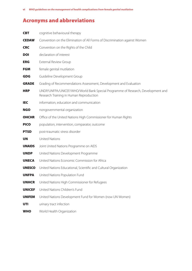# Acronyms and abbreviations

| <b>CBT</b>    | cognitive behavioural therapy                                                                                              |  |  |  |
|---------------|----------------------------------------------------------------------------------------------------------------------------|--|--|--|
| <b>CEDAW</b>  | Convention on the Elimination of All Forms of Discrimination against Women                                                 |  |  |  |
| <b>CRC</b>    | Convention on the Rights of the Child                                                                                      |  |  |  |
| <b>DOI</b>    | declaration of interest                                                                                                    |  |  |  |
| <b>ERG</b>    | <b>External Review Group</b>                                                                                               |  |  |  |
| <b>FGM</b>    | female genital mutilation                                                                                                  |  |  |  |
| <b>GDG</b>    | Guideline Development Group                                                                                                |  |  |  |
| <b>GRADE</b>  | Grading of Recommendations Assessment, Development and Evaluation                                                          |  |  |  |
| <b>HRP</b>    | UNDP/UNFPA/UNICEF/WHO/World Bank Special Programme of Research, Development and<br>Research Training in Human Reproduction |  |  |  |
| <b>IEC</b>    | information, education and communication                                                                                   |  |  |  |
| <b>NGO</b>    | nongovernmental organization                                                                                               |  |  |  |
| <b>OHCHR</b>  | Office of the United Nations High Commissioner for Human Rights                                                            |  |  |  |
| <b>PICO</b>   | population, intervention, comparator, outcome                                                                              |  |  |  |
| <b>PTSD</b>   | post-traumatic stress disorder                                                                                             |  |  |  |
| <b>UN</b>     | <b>United Nations</b>                                                                                                      |  |  |  |
| <b>UNAIDS</b> | Joint United Nations Programme on AIDS                                                                                     |  |  |  |
| <b>UNDP</b>   | United Nations Development Programme                                                                                       |  |  |  |
| <b>UNECA</b>  | United Nations Economic Commission for Africa                                                                              |  |  |  |
| <b>UNESCO</b> | United Nations Educational, Scientific and Cultural Organization                                                           |  |  |  |
| <b>UNFPA</b>  | United Nations Population Fund                                                                                             |  |  |  |
| <b>UNHCR</b>  | United Nations High Commissioner for Refugees                                                                              |  |  |  |
| <b>UNICEF</b> | United Nations Children's Fund                                                                                             |  |  |  |
| <b>UNIFEM</b> | United Nations Development Fund for Women (now UN Women)                                                                   |  |  |  |
| UTI           | urinary tract infection                                                                                                    |  |  |  |
| <b>WHO</b>    | World Health Organization                                                                                                  |  |  |  |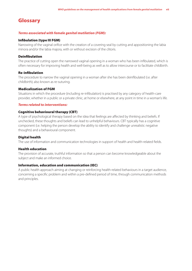# Glossary

### *Terms associated with female genital mutilation (FGM):*

#### Infibulation (type III FGM)

Narrowing of the vaginal orifice with the creation of a covering seal by cutting and appositioning the labia minora and/or the labia majora, with or without excision of the clitoris.

#### Deinfibulation

The practice of cutting open the narrowed vaginal opening in a woman who has been infibulated, which is often necessary for improving health and well-being as well as to allow intercourse or to facilitate childbirth.

#### Re-infibulation

The procedure to narrow the vaginal opening in a woman after she has been deinfibulated (i.e. after childbirth); also known as re-suturing.

#### Medicalization of FGM

Situations in which the procedure (including re-infibulation) is practised by any category of health-care provider, whether in a public or a private clinic, at home or elsewhere, at any point in time in a woman's life.

#### *Terms related to interventions:*

#### Cognitive behavioural therapy (CBT)

A type of psychological therapy based on the idea that feelings are affected by thinking and beliefs. If unchecked, these thoughts and beliefs can lead to unhelpful behaviours. CBT typically has a cognitive component (i.e. helping the person develop the ability to identify and challenge unrealistic negative thoughts) and a behavioural component.

#### Digital health

The use of information and communication technologies in support of health and health-related fields.

#### Health education

The provision of accurate, truthful information so that a person can become knowledgeable about the subject and make an informed choice.

#### Information, education and communication (IEC)

A public health approach aiming at changing or reinforcing health-related behaviours in a target audience, concerning a specific problem and within a pre-defined period of time, through communication methods and principles.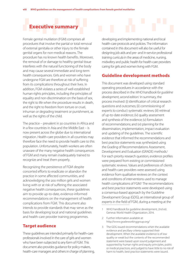# Executive summary

Female genital mutilation (FGM) comprises all procedures that involve the partial or total removal of external genitalia or other injury to the female genital organs for non-medical reasons. The procedure has no known health benefits. Moreover, the removal of or damage to healthy genital tissue interferes with the natural functioning of the body and may cause several immediate and long-term health consequences. Girls and women who have undergone FGM are therefore at risk of suffering from its complications throughout their lives. In addition, FGM violates a series of well-established human rights principles, including the principles of equality and non-discrimination on the basis of sex, the right to life when the procedure results in death, and the right to freedom from torture or cruel, inhuman or degrading treatment or punishment, as well as the rights of the child.

The practice – prevalent in 30 countries in Africa and in a few countries in Asia and the Middle East – is now present across the globe due to international migration. Health-care providers in all countries may therefore face the need to provide health care to this population. Unfortunately, health workers are often unaware of the many negative health consequences of FGM and many remain inadequately trained to recognize and treat them properly.

Recognizing the persistence of FGM despite concerted efforts to eradicate or abandon the practice in some affected communities, and acknowledging the 200 million girls and women living with or at risk of suffering the associated negative health consequences, these guidelines aim to provide up-to-date, evidence-informed recommendations on the management of health complications from FGM. This document also intends to provide standards that may serve as the basis for developing local and national guidelines and health-care provider training programmes.

# Target audience

These guidelines are intended primarily for health-care professionals involved in the care of girls and women who have been subjected to any form of FGM. This document also provides guidance for policy-makers, health-care managers and others in charge of planning, developing and implementing national and local health-care protocols and policies. The information contained in this document will also be useful for designing job aids and pre- and in-service professional training curricula in the areas of medicine, nursing, midwifery and public health for health-care providers caring for girls and women living with FGM.

# Guideline development methods

This document was developed using standard operating procedures in accordance with the process described in the *WHO handbook for guideline*  development, second edition.<sup>1</sup> In summary, the process involved: (i) identification of critical research questions and outcomes; (ii) commissioning of experts to conduct systematic reviews; (iii) retrieval of up-to-date evidence; (iv) quality assessment and synthesis of the evidence; (v) formulation of recommendations; and (vi) planning for the dissemination, implementation, impact evaluation and updating of the guidelines. The scientific evidence that informed the recommendations and best practice statements was synthesized using the Grading of Recommendations Assessment, Development and Evaluation (GRADE) methods.<sup>2</sup> For each priority research question, evidence profiles were prepared from existing or commissioned systematic reviews. Values and preferences of clients and health-care providers were assessed using evidence from qualitative reviews on the context and conditions of interventions used to manage health complications of FGM.<sup>3</sup> The recommendations and best practice statements were developed using a consensus-based approach by the Guideline Development Group (GDG), an international group of experts in the field of FGM, during a meeting at the

- WHO handbook for guideline development, 2nd ed. Geneva: World Health Organization; 2014.
- 2 Further information available at: http://www.gradeworkinggroup.org/
- 3 The GDG issued recommendations when the available evidence and ancillary criteria supported their development. When the available evidence is of low quality or weak but the contents of the recommended statement were based upon sound judgement and supported by human rights and equity principles, public or medical practices, and judged to have little to no risk of harm to health, best practice statements were issued.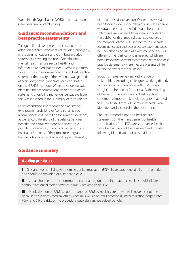World Health Organization (WHO) headquarters in Geneva on 1–2 September 2015.

# Guidance: recommendations and best practice statements

The guideline development process led to the adoption of three statements of "guiding principles", five recommendations and eight best practice statements, covering the use of deinfibulation, mental health, female sexual health, and information and education (see *Guidance summary* tables). For each recommendation and best practice statement the quality of the evidence was graded as "very low", "low", "moderate" or "high", based on the GRADE methods. When no evidence was identified for a recommendation or best practice statement, or only indirect evidence was available, this was indicated in the summary of the evidence.

Recommendations were considered as "strong" (two recommendations) or "conditional" (three recommendations), based on the available evidence, as well as considerations of the balance between benefits and harms, women's and health-care providers' preferences, human and other resource implications, priority of the problem, equity and human rights issues, and acceptability and feasibility

of the proposed intervention. Where there was a need for guidance, but no relevant research evidence was available, recommendations and best practice statements were agreed if they were supported by the public health or medical practice expertise of the members of the GDG. In order to ensure each recommendation and best practice statement could be understood and used as it was intended, the GDG offered further clarifications as needed, which are noted below the relevant recommendations and best practice statements where they are presented in full within the text of these guidelines.

Input from peer reviewers and a range of stakeholders, including colleagues working directly with girls and women living with FGM, was also sought and helped to further clarify the wording of the recommendations and best practice statements. Important knowledge gaps that need to be addressed through primary research were identified and included in the document.

The recommendations and best practice statements on the management of health complications from FGM are summarized in the table below. They will be reviewed and updated following identification of new evidence.

# Guidance summary

## Guiding principles

I Girls and women living with female genital mutilation (FGM) have experienced a harmful practice and should be provided quality health care.

II All stakeholders – at the community, national, regional and international level – should initiate or continue actions directed towards primary prevention of FGM.

III Medicalization of FGM (i.e. performance of FGM by health-care providers) is never acceptable because this violates medical ethics since (i) FGM is a harmful practice; (ii) medicalization perpetuates FGM; and (iii) the risks of the procedure outweigh any perceived benefit.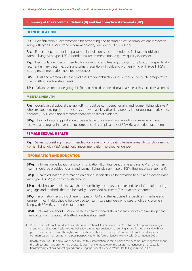#### Summary of the recommendations (R) and best practice statements (BP)

#### **DEINFIBULATION**

**R-1** Deinfibulation is recommended for preventing and treating obstetric complications in women living with type III FGM (strong recommendation; very low-quality evidence).

R-2 Either antepartum or intrapartum deinfibulation is recommended to facilitate childbirth in women living with type III FGM (conditional recommendation; very low-quality evidence).

**R-3** Deinfibulation is recommended for preventing and treating urologic complications – specifically recurrent urinary tract infections and urinary retention – in girls and women living with type III FGM (strong recommendation; no direct evidence).

**BP-1** Girls and women who are candidates for deinfibulation should receive adequate preoperative briefing (Best practice statement).

**BP-2** Girls and women undergoing deinfibulation should be offered local anaesthesia (Best practice statement).

#### MENTAL HEALTH

R-4 Cognitive behavioural therapy (CBT) should be considered for girls and women living with FGM who are experiencing symptoms consistent with anxiety disorders, depression or post-traumatic stress disorder (PTSD) (conditional recommendation; no direct evidence).

**BP-3** Psychological support should be available for girls and women who will receive or have received any surgical intervention to correct health complications of FGM (Best practice statement).

#### FEMALE SEXUAL HEALTH

R-5 Sexual counselling is recommended for preventing or treating female sexual dysfunction among women living with FGM (conditional recommendation; no direct evidence).

#### INFORMATION AND EDUCATION

**BP-4** Information, education and communication (IEC)<sup>4</sup> interventions regarding FGM and women's health should be provided to girls and women living with any type of FGM (Best practice statement).

BP-5 Health education<sup>5</sup> information on deinfibulation should be provided to girls and women living with type III FGM (Best practice statement).

**BP-6** Health-care providers have the responsibility to convey accurate and clear information, using language and methods that can be readily understood by clients (Best practice statement).

**BP-7** Information regarding different types of FGM and the associated respective immediate and long-term health risks should be provided to health-care providers who care for girls and women living with FGM (Best practice statement).

**BP-8** Information about FGM delivered to health workers should clearly convey the message that medicalization is unacceptable (Best practice statement).

<sup>4</sup> WHO defines information, education and communication (IEC) interventions as "a public health approach aiming at changing or reinforcing health-related behaviours in a target audience, concerning a specific problem and within a pre-defined period of time, through communication methods and principles". Source: Information, education and communication – lessons from the past; perspectives for the future. Geneva: World Health Organization; 2001.

<sup>5</sup> Health education is the provision of accurate, truthful information so that a person can become knowledgeable about the subject and make an informed choice. Source: Training modules for the syndromic management of sexually transmitted infections: educating and counselling the patient. Geneva: World Health Organization; 2007.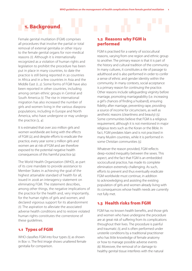# 1. Background

Female genital mutilation (FGM) comprises all procedures that involve the partial or total removal of external genitalia or other injury to the female genital organs for non-medical reasons *(1).* Although it is internationally recognized as a violation of human rights and legislation to prohibit the procedure has been put in place in many countries, to date the practice is still being reported in 30 countries in Africa and in a few countries in Asia and the Middle East *(1, 2)*. Some forms of FGM have also been reported in other countries, including among certain ethnic groups in Central and South America *(1)*. The rise in international migration has also increased the number of girls and women living in the various diaspora populations, including in Europe and North America, who have undergone or may undergo the practice *(3, 4)*.

It is estimated that over 200 million girls and women worldwide are living with the effects of FGM *(2)*, and despite efforts to eradicate the practice, every year some 3 million girls and women are at risk of FGM and are therefore exposed to the potential negative health consequences of this harmful practice *(4)*.

The World Health Organization (WHO), as part of its core mandate to provide assistance to Member States in achieving the goal of the highest attainable standard of health for all, issued in 2008 an interagency statement on eliminating FGM. The statement describes, among other things, the negative implications of the practice for the health and, very importantly, for the human rights of girls and women, and declared vigorous support for its abandonment *(1)*. The aspiration to alleviate the associated adverse health conditions and to restore violated human rights constitutes the cornerstone of these guidelines.

# 1.1 Types of FGM

WHO classifies FGM into four types *(1)*, as shown in Box 1.1. The first image shows unaltered female genitalia for comparison.

# 1.2 Reasons why FGM is performed

FGM is practised for a variety of sociocultural reasons, varying from one region and ethnic group to another. The primary reason is that it is part of the history and cultural tradition of the community. In many cultures, it constitutes a rite of passage to adulthood and is also performed in order to confer a sense of ethnic and gender identity within the community. In many contexts, social acceptance is a primary reason for continuing the practice. Other reasons include safeguarding virginity before marriage, promoting marriageability (i.e. increasing a girl's chances of finding a husband), ensuring fidelity after marriage, preventing rape, providing a source of income for circumcisers, as well as aesthetic reasons (cleanliness and beauty) *(5).* Some communities believe that FGM is a religious requirement, although it is not mentioned in major religious texts such as the Koran or the Bible. In fact, FGM predates Islam and is not practised in many Muslim countries, while it is performed in some Christian communities *(5).*

Whatever the reason provided, FGM reflects deep-rooted inequality between the sexes. This aspect, and the fact that FGM is an embedded sociocultural practice, has made its complete elimination extremely challenging. As such, efforts to prevent and thus eventually eradicate FGM worldwide must continue, in addition to acknowledging and assisting the existing population of girls and women already living with its consequences whose health needs are currently not fully met.

# 1.3 Health risks from FGM

FGM has no known health benefits, and those girls and women who have undergone the procedure are at great risk of suffering from its complications throughout their lives. The procedure is painful and traumatic *(1)*, and is often performed under unsterile conditions by a traditional practitioner who has little knowledge of female anatomy or how to manage possible adverse events *(6)*. Moreover, the removal of or damage to healthy genital tissue interferes with the natural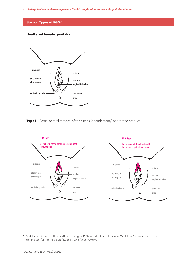# Box 1.1: Types of FGM<sup>\*</sup>

# Unaltered female genitalia



Type I Partial or total removal of the clitoris (clitoridectomy) and/or the prepuce



\* Abdulcadir J, Catania L, Hindin MJ, Say L, Petignat P, Abdulcadir O. Female Genital Mutilation: A visual reference and learning tool for healthcare professionals. 2016 (under review).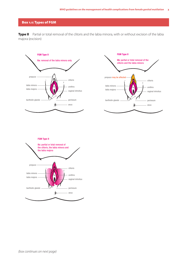# Box 1.1: Types of FGM

Type II Partial or total removal of the clitoris and the labia minora, with or without excision of the labia majora (excision)





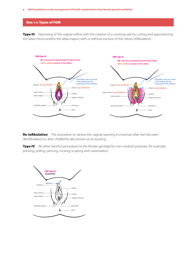#### 4 *WHO guidelines on the management of health complications from female genital mutilation*

#### Box 1.1: Types of FGM

**Type III** Narrowing of the vaginal orifice with the creation of a covering seal by cutting and appositioning the labia minora and/or the labia majora, with or without excision of the clitoris (infibulation)



**Re-infibulation** The procedure to narrow the vaginal opening in a woman after she has been deinfibulated (i.e. after childbirth); also known as re-suturing

**Type IV** All other harmful procedures to the female genitalia for non-medical purposes, for example: pricking, pulling, piercing, incising, scraping and cauterization

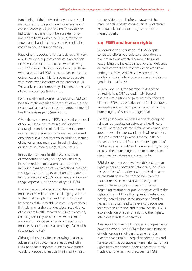functioning of the body and may cause several immediate and long-term genitourinary health consequences *(6–8)* (see Box 1.2). The evidence indicates that there might be a greater risk of immediate harms with type III FGM, relative to types I and II, and that these events tend to be considerably under-reported *(6)*.

Regarding the obstetric risks associated with FGM, a WHO study group that conducted an analysis on FGM in 2006 concluded that women living with FGM are significantly more likely than those who have not had FGM to have adverse obstetric outcomes, and that this risk seems to be greater with more extensive forms of the procedure *(9).* These adverse outcomes may also affect the health of the newborn *(10)* (see Box 1.2).

For many girls and women, undergoing FGM can be a traumatic experience that may leave a lasting psychological mark and cause a number of mental health problems *(11, 12)* (see Box 1.2).

Given that some types of FGM involve the removal of sexually sensitive structures, including the clitoral glans and part of the labia minora, some women report reduction of sexual response and diminished sexual satisfaction. In addition, scarring of the vulvar area may result in pain, including during sexual intercourse *(6, 11)* (see Box 1.2).

In addition to these health risks, a number of procedures and day-to-day activities may be hindered due to anatomical distortions, including gynaecological examinations, cytology testing, post-abortion evacuation of the uterus, intrauterine device (IUD) placement and tampon usage, especially in the case of type III FGM.

Providing exact data regarding the direct health impacts of FGM has been a challenging task due to the small sample sizes and methodological limitations of the available studies. Despite these limitations, over the past decade or so, evidence of the direct health impacts of FGM has accrued, enabling recent systematic reviews and metaanalyses to provide summaries of these health impacts. Box 1.2 contains a summary of all health risks related to FGM.

Although there is evidence showing that these adverse health outcomes are associated with FGM, and that many communities have started to acknowledge this association, in reality healthcare providers are still often unaware of the many negative health consequences and remain inadequately trained to recognize and treat them properly.

# 1.4 FGM and human rights

Recognizing the persistence of FGM despite concerted efforts to eradicate or abandon the practice in some affected communities, and recognizing the increased need for clear guidance on the treatment and care of women who have undergone FGM, WHO has developed these guidelines to include a focus on human rights and gender inequality *(13)*.

In December 2012, the Member States of the United Nations (UN) agreed in UN General Assembly resolution 67/146 to intensify efforts to eliminate FGM, as a practice that is "an irreparable, irreversible abuse that impacts negatively on the human rights of women and girls" *(14)*.

For the past several decades, a diverse group of scholars, advocates, legislators and health-care practitioners have offered differing views and ideas about how to best respond to this UN resolution. One consistent and powerful theme in these conversations is a call for common recognition of FGM as a denial of girls' and women's ability to fully exercise their human rights and to be free from discrimination, violence and inequality.

FGM violates a series of well-established human rights principles, norms and standards, including the principles of equality and non-discrimination on the basis of sex, the right to life when the procedure results in death, and the right to freedom from torture or cruel, inhuman or degrading treatment or punishment, as well as the rights of the child (see Box 1.3). As it interferes with healthy genital tissue in the absence of medical necessity and can lead to severe consequences for a woman's physical and mental health, FGM is also a violation of a person's right to the highest attainable standard of health *(1)*.

A variety of human rights treaties and agreements have also pronounced FGM to be a manifestation of violence against girls and women, and a practice that sustains unequal gender norms and stereotypes that contravene human rights. Human rights treaty monitoring bodies have consistently made clear that harmful practices like FGM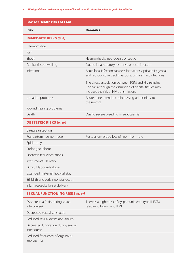#### 6 *WHO guidelines on the management of health complications from female genital mutilation*

| <b>Risk</b>                                        | <b>Remarks</b>                                                                                                                                          |  |  |
|----------------------------------------------------|---------------------------------------------------------------------------------------------------------------------------------------------------------|--|--|
| <b>IMMEDIATE RISKS (6, 8)</b>                      |                                                                                                                                                         |  |  |
| Haemorrhage                                        |                                                                                                                                                         |  |  |
| Pain                                               |                                                                                                                                                         |  |  |
| Shock                                              | Haemorrhagic, neurogenic or septic                                                                                                                      |  |  |
| Genital tissue swelling                            | Due to inflammatory response or local infection                                                                                                         |  |  |
| Infections                                         | Acute local infections; abscess formation; septicaemia; genital<br>and reproductive tract infections; urinary tract infections                          |  |  |
|                                                    | The direct association between FGM and HIV remains<br>unclear, although the disruption of genital tissues may<br>increase the risk of HIV transmission. |  |  |
| Urination problems                                 | Acute urine retention; pain passing urine; injury to<br>the urethra                                                                                     |  |  |
| Wound healing problems                             |                                                                                                                                                         |  |  |
| Death                                              | Due to severe bleeding or septicaemia                                                                                                                   |  |  |
| <b>OBSTETRIC RISKS (9, 10)</b>                     |                                                                                                                                                         |  |  |
| Caesarean section                                  |                                                                                                                                                         |  |  |
| Postpartum haemorrhage                             | Postpartum blood loss of 500 ml or more                                                                                                                 |  |  |
| Episiotomy                                         |                                                                                                                                                         |  |  |
| Prolonged labour                                   |                                                                                                                                                         |  |  |
| Obstetric tears/lacerations                        |                                                                                                                                                         |  |  |
| Instrumental delivery                              |                                                                                                                                                         |  |  |
| Difficult labour/dystocia                          |                                                                                                                                                         |  |  |
| Extended maternal hospital stay                    |                                                                                                                                                         |  |  |
| Stillbirth and early neonatal death                |                                                                                                                                                         |  |  |
| Infant resuscitation at delivery                   |                                                                                                                                                         |  |  |
| <b>SEXUAL FUNCTIONING RISKS (6, 11)</b>            |                                                                                                                                                         |  |  |
| Dyspareunia (pain during sexual<br>intercourse)    | There is a higher risk of dyspareunia with type III FGM<br>relative to types I and II (6).                                                              |  |  |
| Decreased sexual satisfaction                      |                                                                                                                                                         |  |  |
| Reduced sexual desire and arousal                  |                                                                                                                                                         |  |  |
| Decreased lubrication during sexual<br>intercourse |                                                                                                                                                         |  |  |
| Reduced frequency of orgasm or<br>anorgasmia       |                                                                                                                                                         |  |  |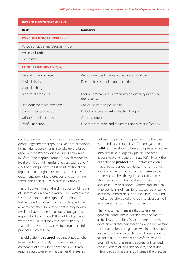| <b>Box 1.2: Health risks of FGM</b>   |                                                                             |  |  |  |  |
|---------------------------------------|-----------------------------------------------------------------------------|--|--|--|--|
| <b>Risk</b>                           | <b>Remarks</b>                                                              |  |  |  |  |
| <b>PSYCHOLOGICAL RISKS (12)</b>       |                                                                             |  |  |  |  |
| Post-traumatic stress disorder (PTSD) |                                                                             |  |  |  |  |
| Anxiety disorders                     |                                                                             |  |  |  |  |
| Depression                            |                                                                             |  |  |  |  |
| <b>LONG-TERM-RISKS (6, 8)</b>         |                                                                             |  |  |  |  |
| Genital tissue damage                 | With consequent chronic vulvar and clitoral pain                            |  |  |  |  |
| Vaginal discharge                     | Due to chronic genital tract infections                                     |  |  |  |  |
| Vaginal itching                       |                                                                             |  |  |  |  |
| Menstrual problems                    | Dysmenorrhea, irregular menses and difficulty in passing<br>menstrual blood |  |  |  |  |
| Reproductive tract infections         | Can cause chronic pelvic pain                                               |  |  |  |  |
| Chronic genital infections            | Including increased risk of bacterial vaginosis                             |  |  |  |  |
| Urinary tract infections              | Often recurrent                                                             |  |  |  |  |
| Painful urination                     | Due to obstruction and recurrent urinary tract infections                   |  |  |  |  |

constitute a form of discrimination based on sex, gender, age and other grounds *(19)*. Several regional human rights agreements also take up the issue, especially the Protocol on the Rights of Women in Africa ("the Maputo Protocol"), which mandates legal prohibition of harmful practices such as FGM *(20)*. For a comprehensive list of international and regional human rights treaties and consensus documents providing protection and containing safeguards against FGM, please see Annex 1.

The UN Convention on the Elimination of All Forms of Discrimination against Women (CEDAW) and the UN Convention on the Rights of the Child (CRC) further called for an end to the practice, as have a variety of other UN human rights treaty bodies *(19)*. They have clarified that states' "obligations to respect, fulfil and protect" the rights of girls and women require that they take action to ensure that girls and women can live free from harmful practices, such as FGM.

The obligation to **respect** requires states to refrain from interfering directly or indirectly with the enjoyment of rights. In the case of FGM, it may require states to ensure that the health system is

not used to perform this practice, as is the case with medicalization of FGM. The obligation to fulfil requires states to take appropriate legislative, administrative, budgetary, judicial and other actions to prevent and eliminate FGM. Finally, the obligation to **protect** requires states to ensure that third parties do not violate the rights of girls and women and that protective measures are in place, such as health, legal and social services. This means that states must set in place systems and structures to support "women and children who are victims of harmful practices" by ensuring access to "immediate support services, including medical, psychological and legal services", as well as emergency medical services *(19)*.

The right to health means that states must generate conditions in which everyone can be as healthy as possible. Despite some progress, governments face persistent challenges in meeting their international obligations within their national laws and policies related to FGM. These range from failing to fully implement and enforce existing laws, failing to foresee and address unintended consequences of laws and policies, and taking misguided actions that may increase the practice,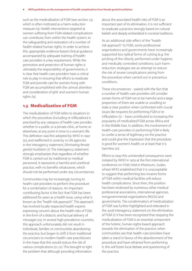such as the medicalization of FGM (see section 1.5), which is often instituted as a harm-reduction measure *(13)*. Health interventions targeted at women suffering from FGM-related complications can contribute, from within the health system, to the safeguarding and restoration of a number of health-related human rights. In order to achieve this, appropriate evidence-based clinical guidance accompanied by adequate training of healthcare providers is a key requirement. While the promotion and protection of human rights is ultimately the responsibility of governments, it is clear that health-care providers have a critical role to play in ensuring that efforts to eradicate FGM and provide care for women living with FGM are accomplished with the utmost attention and consideration of girls' and women's human rights *(13)*.

# 1.5 Medicalization of FGM

The medicalization of FGM refers to situations in which the procedure (including re-infibulation) is practised by any category of health-care provider, whether in a public or a private clinic, at home or elsewhere, at any point in time in a woman's life. This definition was first adopted by WHO in 1997 *(21)*, and reaffirmed in 2008 by 10 UN agencies in the interagency statement, *Eliminating female genital mutilation (1)*. The interagency statement strongly emphasizes that regardless of whether FGM is carried out by traditional or medical personnel, it represents a harmful and unethical practice, with no benefits whatsoever, which should not be performed under any circumstances.

Communities may be increasingly turning to health-care providers to perform the procedure for a combination of reasons. An important contributing factor is the fact that FGM has been addressed for years as a health issue, using what is known as the "health risk approach". This approach has involved locally respected health experts expressing concern about the health risks of FGM, in the form of a didactic and factual delivery of messages *(22)*. In several high-prevalence countries, this approach unfortunately did not result in individuals, families or communities abandoning the practice, but began to shift it from traditional circumcisers to modern health-care practitioners in the hope that this would reduce the risk of various complications *(21, 22)*. This brought to light the problem that although providing information

about the associated health risks of FGM is an important part of its elimination, it is not sufficient to eradicate a practice strongly based on cultural beliefs and deeply embedded in societal traditions.

As an additional side-effect of the "health risk approach" to FGM, some professional organizations and governments have increasingly supported less radical forms of cutting (e.g. the pricking of the clitoris), performed under hygienic and medically controlled conditions; such harmreduction strategies are an attempt to reduce the risk of severe complications arising from the procedure when carried out in precarious conditions.

These circumstances – paired with the fact that a number of health-care providers still consider certain forms of FGM not to be harmful and a large proportion of them are unable or unwilling to state a clear position when confronted with crucial issues like requests for performing FGM or reinfibulation *(5)* – have contributed to increasing the popularity of medicalized FGM across Africa and in the Middle East. In addition, the involvement of health-care providers in performing FGM is likely to confer a sense of legitimacy on the practice and could give the impression that the procedure is good for women's health, or at least that it is harmless *(21)*.

Efforts to stop this unintended consequence were initiated by WHO in 1979 at the first international conference on FGM, held in Khartoum, Sudan, where WHO established that it is unacceptable to suggest that performing less invasive forms of FGM within medical facilities will reduce health complications. Since then, this position has been endorsed by numerous other medical professional associations, international agencies, nongovernmental organizations (NGOs) and governments. The condemnation of medicalization of FGM was further highlighted and reiterated in the 2008 interagency statement on the elimination of FGM *(1)*. It has been recognized that stopping the medicalization of FGM is an essential component of the holistic, human-rights-based approach towards the elimination of the practice: when communities see that health-care providers have taken a stand in favour of the abandonment of the procedure and have refrained from performing it, this will foster local debate and questioning of the practice.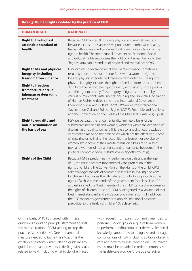#### Box 1.3: Human rights violated by the practice of FGM

| <b>HUMAN RIGHT</b>                                                                                                                                                           | <b>RATIONALE</b>                                                                                                                                                                                                                                                                                                                                                                                                                                                                                                                                                                                                                                                                                                                                                                                            |  |  |
|------------------------------------------------------------------------------------------------------------------------------------------------------------------------------|-------------------------------------------------------------------------------------------------------------------------------------------------------------------------------------------------------------------------------------------------------------------------------------------------------------------------------------------------------------------------------------------------------------------------------------------------------------------------------------------------------------------------------------------------------------------------------------------------------------------------------------------------------------------------------------------------------------------------------------------------------------------------------------------------------------|--|--|
| <b>Right to the highest</b><br>attainable standard of<br>health                                                                                                              | Because FGM can result in severe physical and mental harm and<br>because it constitutes an invasive procedure on otherwise healthy<br>tissue without any medical necessity, it is seen as a violation of the<br>right to health. The International Covenant on Economic, Social<br>and Cultural Rights recognizes the right of all human beings to the<br>"highest attainable standard of physical and mental health"(15).                                                                                                                                                                                                                                                                                                                                                                                  |  |  |
| <b>Right to life and physical</b><br>integrity, including<br>freedom from violence<br><b>Right to freedom</b><br>from torture or cruel,<br>inhuman or degrading<br>treatment | FGM can cause severe physical and mental damage, sometimes<br>resulting in death. As such, it interferes with a woman's right to<br>life and physical integrity and freedom from violence. The right to<br>physical integrity includes the right to freedom from torture, inherent<br>dignity of the person, the right to liberty and security of the person,<br>and the right to privacy. This category of rights is protected by<br>various human rights instruments including: the Universal Declaration<br>of Human Rights, Articles 1 and 3; the International Covenant on<br>Economic, Social and Cultural Rights, Preamble; the International<br>Covenant on Civil and Political Rights (ICCPR), Preamble and Article 9;<br>and the Convention on the Rights of the Child (CRC), Article 19 (15-18). |  |  |
| <b>Right to equality and</b><br>non-discrimination on<br>the basis of sex                                                                                                    | FGM perpetuates the fundamental discriminatory belief of the<br>subordinate role of girls and women, which fits within the definition of<br>discrimination against women. This refers to "any distinction, exclusion<br>or restriction made on the basis of sex which has the effect or purpose<br>of impairing or nullifying the recognition, enjoyment or exercise by<br>women, irrespective of their marital status, on a basis of equality of<br>men and women, of human rights and fundamental freedoms in the<br>political, economic, social, cultural, civil or any other field" (19).                                                                                                                                                                                                               |  |  |
| <b>Rights of the Child</b>                                                                                                                                                   | Because FGM is predominantly performed on girls under the age<br>of 18, the issue becomes fundamentally the protection of the<br>rights of children. The Convention on the Rights of the Child (CRC)<br>acknowledges the role of parents and families in making decisions<br>for children, but places the ultimate responsibility for protecting the<br>rights of a child in the hands of the government (Article 5). The CRC<br>also established the "best interests of the child" standard in addressing<br>the rights of children (Article 3). FGM is recognized as a violation of that<br>best interest standard and a violation of children's rights. In addition,<br>the CRC mandates governments to abolish "traditional practices<br>prejudicial to the health of children" (Article 24) (18).      |  |  |

On this basis, WHO has issued within these guidelines a guiding principle statement against the medicalization of FGM, aiming to stop this practice (see section 3.1). One fundamental measure needed to tackle this situation is the creation of protocols, manuals and guidelines to guide health-care providers in dealing with issues related to FGM, including what to do when faced

with requests from parents or family members to perform FGM on girls, or requests from women to perform re-infibulation after delivery. Technical knowledge about how to recognize and manage complications of FGM, including suitable obstetric care and how to counsel women on FGM-related issues, must be provided in order to emphasize the health-care provider's role as a caregiver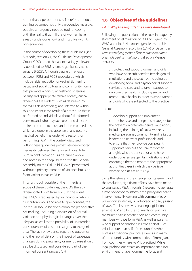rather than a perpetrator *(21)*. Therefore, adequate training becomes not only a preventive measure, but also an urgently needed tool for coping with the reality that millions of women have already undergone FGM and must live with its consequences.

In the course of developing these guidelines (see Methods, section 2.1), the Guideline Development Group (GDG) noted that an increasingly relevant issue related to FGM is female genital cosmetic surgery (FGCS). Although parallels may exist between FGM and FGCS procedures (which include labial reduction or vaginal tightening because of social, cultural and community norms that promote a particular aesthetic of female beauty and appropriate female bodies), critical differences are evident. FGM as described by the WHO classification *(1)* and referred to within this document is the result of a procedure that is performed on individuals without full informed consent, and who may face profound direct or indirect coercion to take part in these procedures, which are done in the absence of any potential medical benefit. The underlying reasons for performing FGM in the context discussed within these guidelines perpetuate deep-rooted inequality between the sexes and constitute human rights violations, as described above and noted in the 2009 UN report to the General Assembly on the Girl Child: FGM is "perpetrated without a primary intention of violence but is de facto violent in nature" *(23).*

Thus, although outside of the immediate scope of these guidelines, the GDG thereby differentiated FGM from FGCS. In the event that FGCS is requested by an individual who is fully autonomous and able to give consent, the individual should be given complete preoperative counselling, including a discussion of normal variation and physiological changes over the lifespan, as well as the possibility of unintended consequences of cosmetic surgery to the genital area. The lack of evidence regarding outcomes and the lack of data on the impact of subsequent changes during pregnancy or menopause should also be discussed and considered part of the informed consent process *(24).*

# 1.6 Objectives of the guidelines

#### *1.6.1 Why these guidelines were developed*

Following the publication of the 2008 interagency statement on elimination of FGM co-signed by WHO and nine UN partner agencies *(1)*, the UN General Assembly resolution 67/146 of December 2012, *Intensifying global efforts for the elimination of female genital mutilations*, called on Member States to:

. . . protect and support women and girls who have been subjected to female genital mutilations and those at risk, including by developing social and psychological support services and care, and to take measures to improve their health, including sexual and reproductive health, in order to assist women and girls who are subjected to the practice;

#### and to:

. . . develop, support and implement comprehensive and integrated strategies for the prevention of female genital mutilations, including the training of social workers, medical personnel, community and religious leaders and relevant professionals, and to ensure that they provide competent, supportive services and care to women and girls who are at risk of or who have undergone female genital mutilations, and encourage them to report to the appropriate authorities cases in which they believe women or girls are at risk *(14).*

Since the release of the interagency statement and the resolution, significant efforts have been made to counteract FGM, through (i) research to generate further evidence to inform both policy and health interventions; (ii) working with communities on prevention strategies; (iii) advocacy; and (iv) passing of laws. The last involves enabling legislation against FGM and focuses primarily on punitive measures against practitioners and community members who perform FGM, as well as parents who support or condone it. Laws against FGM exist in more than half of the countries where FGM is a traditional practice, as well as in many of the countries with communities of immigrants from countries where FGM is practised. While legal prohibitions create an important enabling environment for abandonment efforts, and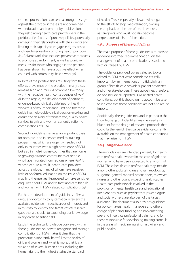criminal prosecutions can send a strong message against the practice, if these are not combined with education and community mobilization, they risk placing health-care practitioners in the position of enforcers of punitive policies, potentially damaging their relationships with their clients and limiting their capacity to engage in rights-based and gender-equality-promoting health practices *(13)*. A framework that includes preventive measures to promote abandonment, as well as punitive measures for those who engage in the practice, has been shown to have a positive effect when coupled with community-based work *(21).*

In spite of the positive signs resulting from these efforts, prevalence of the practice in many areas remains high and millions of women live today with the negative health consequences of FGM *(1)*. In this regard, the development of pertinent, evidence-based clinical guidelines for health workers is of key importance. First and foremost, guidelines help guide clinical decision-making and ensure the delivery of standardized, quality health services to girls and women currently suffering complications of FGM.

Secondly, guidelines serve as an important basis for both pre- and in-service medical training programmes, which are urgently needed not only in countries with a high prevalence of FGM, but also in high-income countries that are home to growing diaspora communities of people who have migrated from regions where FGM is widespread. As a result, health-care providers across the globe, many of whom have received little or no formal education on the issue of FGM, may find themselves ill-prepared to make sensitive enquiries about FGM and to treat and care for girls and women with FGM-related complications *(25)*.

Further, the development of guidelines offers a unique opportunity to systematically review the available evidence in specific areas of interest, and in this way to identify and target critical research gaps that are crucial to expanding our knowledge in any given scientific field.

Lastly, the technical knowledge conveyed within these guidelines on how to recognize and manage complications of FGM makes it clear that the procedure is inherently harmful to the health of girls and women and, what is more, that it is a violation of several human rights, including the human right to the highest attainable standard

of health. This is especially relevant with regard to the efforts to stop medicalization, placing the emphasis on the role of health workers as caregivers who must not also become perpetuators of a harmful practice.

### *1.6.2 Purpose of these guidelines*

The main purpose of these guidelines is to provide evidence-informed recommendations on the management of health complications associated with or caused by FGM.

The guidance provided covers selected topics related to FGM that were considered critically important by an international, multidisciplinary group of health-care providers, patient advocates and other stakeholders. These guidelines, therefore, do not include all reported FGM-related health conditions, but this should on no account be taken to indicate that those conditions are not also real or important.

Additionally, these guidelines, and in particular the knowledge gaps it identifies, may be used as a blueprint for the design of research protocols that could further enrich the scarce evidence currently available on the management of health conditions that may arise from FGM.

#### *1.6.3 Target audience*

These guidelines are intended primarily for healthcare professionals involved in the care of girls and women who have been subjected to any form of FGM. These health-care professionals may include, among others, obstetricians and gynaecologists, surgeons, general medical practitioners, midwives, nurses and other country-specific health cadres. Health-care professionals involved in the provision of mental health care and educational interventions, such as psychiatrists, psychologists and social workers, are also part of the target audience. This document also provides guidance for policy-makers, health managers and others in charge of planning, funding and implementing pre- and in-service professional training, and for those responsible for developing training curricula in the areas of medicine, nursing, midwifery and public health.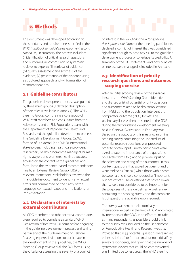# 2. Methods

This document was developed according to the standards and requirements specified in the *WHO handbook for guideline development, second edition (26).* In summary, the process included: (i) identification of critical research questions and outcomes; (ii) commission of systematic reviews to experts; (iii) retrieval of evidence; (iv) quality assessment and synthesis of the evidence; (v) presentation of the evidence using a structured approach; and (vi) formulation of recommendations.

# 2.1 Guideline contributors

The guideline development process was guided by three main groups (a detailed description of their roles is available in Annex 2). The WHO Steering Group, comprising a core group of WHO staff members and consultants from the Adolescents and at-Risk Populations team within the Department of Reproductive Health and Research, led the guideline development process. The Guideline Development Group (GDG), formed of 15 external (non-WHO) international stakeholders, including health-care providers, researchers, health programme managers, human rights lawyers and women's health advocates, advised on the content of the guidelines and formulated the evidence-based recommendations. Finally, an External Review Group (ERG) of relevant international stakeholders reviewed the final guideline document to identify any factual errors and commented on the clarity of the language, contextual issues and implications for implementation.

# 2.2 Declaration of interests by external contributors

All GDG members and other external contributors were required to complete a standard WHO Declaration of Interest (DOI) form before engaging in the guideline development process and taking part in any of the guideline meetings. Before finalizing experts' invitations to participate in the development of the guidelines, the WHO Steering Group reviewed all the DOI forms using the criteria for assessing the severity of a conflict

of interest in the *WHO handbook for guideline development (26)*. None of the meeting participants declared a conflict of interest that was considered significant enough to pose any risk to the guideline development process or to reduce its credibility. A summary of the DOI statements and how conflicts of interest were managed is included in Annex 3.

# 2.3 Identification of priority research questions and outcomes – scoping exercise

After an initial scoping review of the available literature, the WHO Steering Group identified and drafted a list of potential priority questions and outcomes related to health complications from FGM using the population, intervention, comparator, outcome (PICO) format. This preliminary list was then presented to the GDG during the first guideline development meeting held in Geneva, Switzerland, in February 2015. Based on the outputs of this meeting, an online scoping survey containing the updated list of potential research questions was prepared in order to obtain input. Survey participants were asked to rate the importance of the questions on a scale from 1 to 9 and to provide input on the selection and rating of the outcomes. In this context, questions that scored between 7 and 9 were ranked as "critical", while those with a score between 4 and 6 were considered as "important, but not critical". The questions that scored lower than 4 were not considered to be important for the purposes of these guidelines. A web annex containing the scoping survey and the complete list of questions is available upon request*.*

The survey was sent out electronically to international experts in the field of FGM nominated by members of the GDG. In an effort to include as many respondents as possible, a public link to the survey, was included on the Department of Reproductive Health and Research website. Provided that all 33 potential questions were ranked either as "critical" or "important, but not critical" by survey respondents, and given that the number of systematic reviews that could be commissioned was limited due to resources, the WHO Steering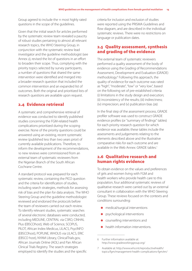Group agreed to include the 11 most highly rated questions in the scope of the guidelines.

Given that the initial search for articles performed by the systematic review team revealed a paucity of robust studies pertaining to almost all relevant research topics, the WHO Steering Group, in conjunction with the systematic review lead investigator and the guideline methodologist (see Annex 2), revised the list of questions in an effort to broaden their scope. Thus, complying with the priority topics selected by survey participants, a number of questions that shared the same intervention were identified and merged into a broader research question that included the common intervention and an expanded list of outcomes. Both the original and prioritized lists of research questions are available upon request.

# 2.4 Evidence retrieval

A systematic and comprehensive retrieval of evidence was conducted to identify published studies concerning the FGM-related health complications prioritized during the scoping exercise. None of the priority questions could be answered using an existing, recent systematic review (published less than two years prior) of currently available publications. Therefore, to inform the development of the recommendations, 10 new reviews were commissioned from an external team of systematic reviewers from the Nigerian Branch of the South African Cochrane Centre.

A standard protocol was prepared for each systematic review, containing the PICO question and the criteria for identification of studies, including search strategies, methods for assessing risk of bias and the plan for data analysis. The WHO Steering Group and the guideline methodologist reviewed and endorsed the protocols before the team of reviewers carried out each review. To identify relevant studies, systematic searches of several electronic databases were conducted, including MEDLINE, CENTRAL via CSRO, CINHAL Plus (EBSCOhost), Web of Science, SCOPUS, PILOT, African Index Medicus, LILACS, PsycINFO (EBSCOhost), POPLINE, WHOLIS via LILACS, ERIC (EBSCO host), NYAM Library, ClinicalTrials.gov, African Journals Online (AOL) and Pan African Clinical Trials Registry. The search strategies employed to identify the studies and the specific

criteria for inclusion and exclusion of studies were reported using the PRISMA Guidelines and flow diagram, and are described in the individual systematic reviews. There were no restrictions on language or publication dates.

# 2.5 Quality assessment, synthesis and grading of the evidence

The external team of systematic reviewers performed a quality assessment of the body of evidence using the Grading of Recommendations Assessment, Development and Evaluation (GRADE) methodology.<sup>6</sup> Following this approach, the quality of evidence for each outcome was rated as "high", "moderate", "low" or "very low", based on the following set of pre-established criteria: (i) limitations in the study design and execution; (ii) inconsistency of the results; (iii) indirectness; (iv) imprecision; and (v) publication bias *(26)*.

In the final step of the assessment process, GRADE profiler software was used to construct GRADE evidence profiles (or "summary of findings" tables) for each priority research question for which evidence was available; these tables include the assessments and judgements relating to the elements described above and the illustrative comparative risks for each outcome and are available in the Web Annex: GRADE tables?

# 2.6 Qualitative research and human rights evidence

To obtain evidence on the values and preferences of girls and women living with FGM and health workers who provide health care to this population, four additional systematic reviews of qualitative research were carried out by an external consultant in collaboration with the WHO Steering Group. These reviews focused on the contexts and conditions surrounding:

- **•** medical/surgical interventions
- psychological interventions
- counselling interventions and
- health information interventions.

<sup>6</sup> Further information available at: http://www.gradeworkinggroup.org/

<sup>7</sup> Available at: http://www.who.int/reproductivehealth/ topics/fgm/management-health-complications-fgm/en/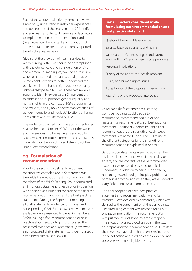Each of these four qualitative systematic reviews aimed to: (i) understand stakeholder experiences and perceptions of the interventions; (ii) identify and summarize contextual barriers and facilitators to implementation of the interventions; and (iii) explore how the context and conditions of implementation relate to the outcomes reported in the effectiveness reviews.

Given that the provision of health services to women living with FGM should be accomplished with the utmost care and consideration of girls' and women's human rights, two literature reviews were commissioned from an external group of human rights experts to better understand the public health and human rights/gender equality linkages that pertain to FGM. These two reviews sought to identify evidence on: (i) interventions to address and/or promote gender equality and human rights in the context of FGM programmes and policies; and (ii) how specific manifestations of gender inequality and neglect/violations of human rights affect and are affected by FGM.

The evidence obtained from the above-mentioned reviews helped inform the GDG about the values and preferences and human rights and equity issues, which constituted important considerations in deciding on the direction and strength of the issued recommendations.

# 2.7 Formulation of recommendations

Prior to the second guideline development meeting, which took place in September 2015, the guideline methodologist in conjunction with members of the WHO Steering Group formulated an initial draft statement for each priority question, which served as a blueprint for each of the finalized recommendations and some of the best practice statements. During the September meeting, all draft statements, evidence summaries and corresponding GRADE tables (where evidence was available) were presented to the GDG members. Before issuing a final recommendation or best practice statement, participants discussed the presented evidence and systematically reviewed each proposed draft statement considering a set of established criteria (see Box 2.1).

# Box 2.1. Factors considered while formulating each recommendation and best practice statement

Quality of the available evidence

Balance between benefits and harms

Values and preferences of girls and women living with FGM, and of health-care providers

Resource implications

Priority of the addressed health problem

Equity and human rights issues

Acceptability of the proposed intervention

Feasibility of the proposed intervention

Using each draft statement as a starting point, participants could decide to recommend, recommend against, or not make a final recommendation or best practice statement. Additionally, before issuing a final recommendation, the strength of each issued statement was agreed upon. The GDG's use of the different categories for the strength of a recommendation is explained in Annex 4.

Best practice statements were issued when the available direct evidence was of low quality or absent, and the contents of the recommended statement were based on sound practical judgement, in addition to being supported by human rights and equity principles, public health or medical practice, and when they were judged to carry little to no risk of harm to health.

The final adoption of each best practice statement and recommendation – and its strength – was decided by consensus, which was defined as the agreement of all the participants. Unanimous agreement was reached for all but one recommendation. This recommendation was put to vote and stood by simple majority. This situation was recorded as such in the text accompanying the recommendation. WHO staff at the meeting, external technical experts involved in the collection and grading of the evidence, and observers were not eligible to vote.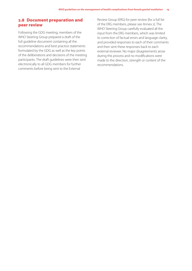# 2.8 Document preparation and peer review

Following the GDG meeting, members of the WHO Steering Group prepared a draft of the full guideline document containing all the recommendations and best practice statements formulated by the GDG as well as the key points of the deliberations and decisions of the meeting participants. The draft guidelines were then sent electronically to all GDG members for further comments before being sent to the External

Review Group (ERG) for peer review (for a full list of the ERG members, please see Annex 2). The WHO Steering Group carefully evaluated all the input from the ERG members, which was limited to correction of factual errors and language clarity, and provided responses to each of their comments and then sent these responses back to each external reviewer. No major disagreements arose during this process and no modifications were made to the direction, strength or content of the recommendations.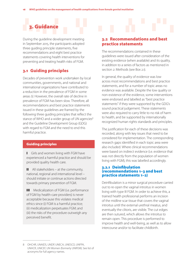

During the guideline development meeting in September 2015, the participants adopted three guiding principle statements, five recommendations and eight best practice statements covering health interventions for preventing and treating health risks of FGM.

# 3.1 Guiding principles

Decades of prevention work undertaken by local communities, governments, and national and international organizations have contributed to a reduction in the prevalence of FGM in some areas *(1)*. However, the overall rate of decline in prevalence of FGM has been slow. Therefore, all recommendations and best practice statements issued in these guidelines are framed by the following three guiding principles that reflect the stance of WHO and a wider group of UN agencies<sup>8</sup> and the Guideline Development Group (GDG) with regard to FGM and the need to end this harmful practice.

# Guiding principles

**I** Girls and women living with FGM have experienced a harmful practice and should be provided quality health care.

 $II$  All stakeholders – at the community, national, regional and international level – should initiate or continue actions directed towards primary prevention of FGM.

III Medicalization of FGM (i.e. performance of FGM by health-care providers) is never acceptable because this violates medical ethics since (i) FGM is a harmful practice; (ii) medicalization perpetuates FGM; and (iii) the risks of the procedure outweigh any perceived benefit.

# 3.2 Recommendations and best practice statements

The recommendations contained in these guidelines were issued after consideration of the existing evidence (when available) and its quality, in addition to a series of factors as mentioned in section 2: Methods (see Box 2.1).

In general, the quality of evidence was low across most recommendations and best practice statements, and for a number of topic areas no evidence was available. Despite the low quality or non-existence of the evidence, some interventions were endorsed and labelled as "best practice statements" if they were supported by the GDG's sound practical judgement. These statements were also required to carry little to no risk of harm to health, and be supported by internationally recognized human rights standards and principles.

The justification for each of these decisions was recorded, along with key issues that need to be considered for implementation. The corresponding research gaps identified in each topic area were also included. Where clinical recommendations were based on indirect evidence (i.e. evidence that was not directly from the population of women living with FGM), this was labelled accordingly.

# 3.2.1 Deinfibulation (recommendations 1–3 and best practice statements 1–2)

Deinfibulation is a minor surgical procedure carried out to re-open the vaginal introitus in women living with type III FGM. In order to achieve this, a trained health professional performs an incision of the midline scar tissue that covers the vaginal introitus until the external urethral meatus, and eventually the clitoris, are visible. The cut edges are then sutured, which allows the introitus to remain open. This procedure is performed to improve health and well-being, as well as to allow intercourse and/or to facilitate childbirth.

<sup>8</sup> OHCHR, UNAIDS, UNDP, UNECA, UNESCO, UNFPA, UNHCR, UNICEF, UN Women (formerly UNIFEM). See list of acronyms for full agency names.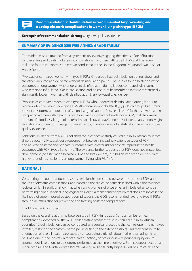Recommendation 1: Deinfibulation is recommended for preventing and treating obstetric complications in women living with type III FGM

#### **Strength of recommendation: Strong** (very low-quality evidence)

#### SUMMARY OF EVIDENCE (SEE WEB ANNEX: GRADE TABLES)

The evidence was extracted from a systematic review investigating the effects of deinfibulation for preventing and treating obstetric complications in women with type III FGM *(27).* The review included four case–control studies: two conducted in the United Kingdom *(28, 29)* and two in Saudi Arabia *(30, 31).*

Two studies compared women with type III FGM. One group had deinfibulation during labour and the other laboured and delivered without deinfibulation *(28, 29).* The studies found better obstetric outcomes among women who underwent deinfibulation during labour, compared with women who remained infibulated. Caesarean section and postpartum haemorrhage rates were statistically significantly lower in women with deinfibulation (very low-quality evidence).

Two studies compared women with type III FGM who underwent deinfibulation during labour to women who had never undergone FGM (therefore, non-infibulated) *(30, 31).* Both groups had similar rates of episiotomy and duration of second stage of labour. Rouzi et al. (2001) further showed, when comparing women with deinfibulation to women who had not undergone FGM, that their mean amount of blood loss, length of maternal hospital stay (in days), and rates of caesarean section, vaginal lacerations, and newborns' Apgar scores at 1 and 5 minutes were not statistically different (very lowquality evidence).

Additional evidence from a WHO collaborative prospective study carried out in six African countries shows a potentially causal, dose-response risk between increasingly extensive types of FGM and adverse obstetric and neonatal outcomes, with greater risk for adverse reproductive health outcomes with FGM types II and III *(9).* The evidence further suggests that FGM does not impact fetal development (no association between FGM and birth weight), but has an impact on delivery, with higher rates of fresh stillbirths among women living with FGM *(9*)*.*

# RATIONALE

Considering the potential dose–response relationship described between the types of FGM and the risk of obstetric complications, and based on the clinical benefits described within the evidence reviews, which in addition show that when using women who were never infibulated as controls, performing deinfibulation during vaginal delivery is a management option that does not increase the likelihood of superimposed obstetric complications, the GDG recommended reversing type III FGM through deinfibulation for preventing and treating obstetric complications.

#### In addition the GDG noted:

Based on the causal relationship between type III FGM (infibulation) and a number of health complications identified by the WHO collaborative prospective study carried out in six African countries *(9)*, deinfibulation can be considered as a surgical procedure that can re-open the narrowed introitus, restoring the anatomy of the pelvic outlet (to the extent possible). This may contribute to a reduction of overall health-care costs by encouraging a trial of labour (rather than using history of FGM alone as the indication for caesarean section), or avoiding severe perineal injury due to spontaneous lacerations or episiotomy performed at the time of delivery. Both caesarean section and repair of third- and fourth-degree lacerations require significantly higher levels of surgical skill and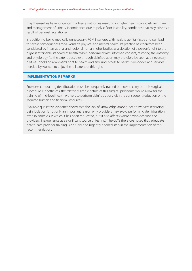may themselves have longer-term adverse outcomes resulting in higher health-care costs (e.g. care and management of urinary incontinence due to pelvic floor instability, conditions that may arise as a result of perineal lacerations).

In addition to being medically unnecessary, FGM interferes with healthy genital tissue and can lead to severe consequences for a woman's physical and mental health. Its practice has therefore been considered by international and regional human rights bodies as a violation of a person's right to the highest attainable standard of health. When performed with informed consent, restoring the anatomy and physiology (to the extent possible) through deinfibulation may therefore be seen as a necessary part of upholding a woman's right to health and ensuring access to health-care goods and services needed by women to enjoy the full extent of this right.

#### IMPLEMENTATION REMARKS

Providers conducting deinfibulation must be adequately trained on how to carry out this surgical procedure. Nonetheless, the relatively simple nature of this surgical procedure would allow for the training of mid-level health workers to perform deinfibulation, with the consequent reduction of the required human and financial resources.

Available qualitative evidence shows that the lack of knowledge among health workers regarding deinfibulation is not only an important reason why providers may avoid performing deinfibulation, even in contexts in which it has been requested, but it also affects women who describe the providers' inexperience as a significant source of fear *(32)*. The GDG therefore noted that adequate health-care provider training is a crucial and urgently needed step in the implementation of this recommendation.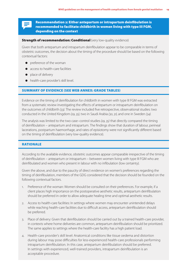# Recommendation 2: Either antepartum or intrapartum deinfibulation is recommended to facilitate childbirth in women living with type III FGM, depending on the context

# **Strength of recommendation: Conditional** (very low-quality evidence)

Given that both antepartum and intrapartum deinfibulation appear to be comparable in terms of obstetric outcomes, the decision about the timing of the procedure should be based on the following contextual factors:

- preference of the woman
- access to health-care facilities
- place of delivery
- health-care provider's skill level.

### SUMMARY OF EVIDENCE (SEE WEB ANNEX: GRADE TABLES)

Evidence on the timing of deinfibulation for childbirth in women with type III FGM was extracted from a systematic review investigating the effects of antepartum or intrapartum deinfibulation on the outcomes of childbirth *(33).* The review included five retrospective, observational studies: two conducted in the United Kingdom *(29, 35)*, two in Saudi Arabia *(30, 31)*, and one in Sweden *(34).* 

The analysis was limited to the two case–control studies *(29, 35)* that directly compared the timing of deinfibulation – antepartum and intrapartum. The findings show that duration of labour, perineal lacerations, postpartum haemorrhage, and rates of episiotomy were not significantly different based on the timing of deinfibulation (very low-quality evidence).

## RATIONALE

According to the available evidence, obstetric outcomes appear comparable irrespective of the timing of deinfibulation – antepartum or intrapartum – between women living with type III FGM who are deinfibulated and women who present in labour with no infibulation (low certainty).

Given the above, and due to the paucity of direct evidence on women's preferences regarding the timing of deinfibulation, members of the GDG considered that the decision should be founded on the following contextual factors.

- 1. Preference of the woman: Women should be consulted on their preferences. For example, if a client places high importance on the postoperative aesthetic results, antepartum deinfibulation should be preferred in order to allow adequate healing time and optimal aesthetic results.
- 2. Access to health-care facilities: In settings where women may encounter unintended delays while reaching health-care facilities due to difficult access, antepartum deinfibulation should be preferred.
- 3. Place of delivery: Given that deinfibulation should be carried out by a trained health-care provider, in contexts where home deliveries are common, antepartum deinfibulation should be prioritized. The same applies to settings where the health-care facility has a high patient load.
- 4. Health-care provider's skill level: Anatomical conditions like tissue oedema and distortion during labour may pose difficulties for less-experienced health-care professionals performing intrapartum deinfibulation. In this case, antepartum deinfibulation should be preferred. In settings with experienced, well-trained providers, intrapartum deinfibulation is an acceptable procedure.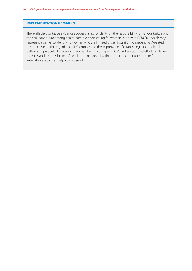#### IMPLEMENTATION REMARKS

The available qualitative evidence suggests a lack of clarity on the responsibility for various tasks along the care continuum among health-care providers caring for women living with FGM *(32)*, which may represent a barrier to identifying women who are in need of deinfibulation to prevent FGM-related obstetric risks. In this regard, the GDG emphasized the importance of establishing a clear referral pathway, in particular for pregnant women living with type III FGM, and encouraged efforts to define the roles and responsibilities of health-care personnel within the client continuum of care from antenatal care to the postpartum period.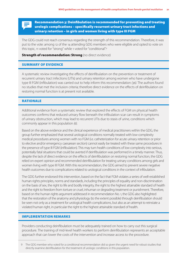Recommendation 3: Deinfibulation is recommended for preventing and treating urologic complications – specifically recurrent urinary tract infections and urinary retention – in girls and women living with type III FGM

The GDG could not reach consensus regarding the strength of this recommendation. Therefore, it was put to the vote: among 12 of the 14 attending GDG members who were eligible and opted to vote on this topic, 11 voted for "strong" while 1 voted for "conditional".<sup>9</sup>

**Strength of recommendation: Strong** (no direct evidence)

#### SUMMARY OF EVIDENCE

A systematic review investigating the effects of deinfibulation on the prevention or treatment of recurrent urinary tract infections (UTIs) and urinary retention among women who have undergone type III FGM (infibulation) was carried out to help inform this recommendation *(36)*. The authors found no studies that met the inclusion criteria; therefore direct evidence on the effects of deinfibulation on restoring normal function is at present not available.

# RATIONALE

Additional evidence from a systematic review that explored the effects of FGM on physical health outcomes confirms that reduced urinary flow beneath the infibulation scar can result in symptoms of urinary obstruction, which may lead to recurrent UTIs due to stasis of urine, conditions which commonly appear in this population *(6)*.

Based on the above evidence and the clinical experience of medical practitioners within the GDG, the group further emphasized that several urological conditions normally treated with low-complexity medical procedures among women with no FGM (i.e. catheterization for acute urinary retention or prior to elective and/or emergency caesarean section) cannot easily be treated with these same procedures in the presence of type III FGM (infibulation). This may turn health conditions of low complexity into serious, potentially fatal situations that could be averted if deinfibulation was performed in a timely manner. Thus, despite the lack of direct evidence on the effects of deinfibulation on restoring normal function, the GDG relied on expert opinion and recommended deinfibulation for treating urinary conditions among girls and women living with type III FGM. With this recommendation, the GDG aimed to prevent severe negative health outcomes due to complications related to urological conditions in the context of infibulation.

The GDG further endorsed this intervention, based on the fact that FGM violates a series of well-established human rights principles, norms and standards, including the principles of equality and non-discrimination on the basis of sex, the right to life and bodily integrity, the right to the highest attainable standard of health and the right to freedom from torture or cruel, inhuman or degrading treatment or punishment. Therefore, based on the human rights argument addressed in recommendation No. 1, the GDG also highlighted that the restoration of the anatomy and physiology (to the extent possible) through deinfibulation should be seen not only as a treatment for urological health complications, but also as an attempt to reinstate a violated human right, in particular the right to the highest attainable standard of health.

### IMPLEMENTATION REMARKS

Providers conducting deinfibulation must be adequately trained on how to carry out this surgical procedure. The training of mid-level health workers to perform deinfibulation represents an acceptable approach that can lower the costs of the intervention and increase access to the procedure.

<sup>9</sup> The GDG member who voted for a conditional recommendation did so given the urgent need for robust studies that directly examine deinfibulation for the treatment of urologic conditions in this population.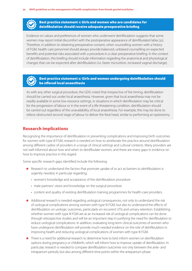Best practice statement 1: Girls and women who are candidates for deinfibulation should receive adequate preoperative briefing

Evidence on values and preferences of women who underwent deinfibulation suggests that some women may report initial discomfort with the postoperative appearance of deinfibulated labia *(32)*. Therefore, in addition to obtaining preoperative consent, when counselling women with a history of FGM, health-care personnel should always provide balanced, unbiased counselling on expected benefits and potential risks associated with a procedure in a clear preoperative briefing. In the context of deinfibulation, this briefing should include information regarding the anatomical and physiological changes that can be expected after deinfibulation (i.e. faster micturition, increased vaginal discharge).

# Best practice statement 2: Girls and women undergoing deinfibulation should be offered local anaesthesia

As with any other surgical procedure, the GDG noted that irrespective of the timing, deinfibulation should be carried out under local anaesthesia. However, given that local anaesthesia may not be readily available in some low-resource settings, in situations in which deinfibulation may be critical for the progression of labour or in the event of a life-threatening condition, deinfibulation should be carried out regardless of the unavailability of local anaesthesia. For example, this may be done to relieve obstructed second stage of labour to deliver the fetal head, similar to performing an episiotomy.

# Research implications

Recognizing the importance of deinfibulation in preventing complications and improving birth outcomes for women with type III FGM, research is needed on how to ameliorate the practice around deinfibulation among different cadres of providers in a range of clinical settings and cultural contexts. Many providers are not well informed about how and when to deinfibulate women, and there are many gaps in evidence on how to improve practice in this regard.

Some specific research gaps identified include the following:

- Research to understand the factors that promote uptake of or act as barriers to deinfibulation is urgently needed, in particular regarding:
	- women's knowledge and acceptance of the deinfibulation procedure
	- male partners' views and knowledge on the surgical procedure
	- content and quality of existing deinfibulation training programmes for health-care providers.
- Additional research is needed regarding urological consequences, not only to understand the risk of urological complications among women with type III FGM, but also to understand the effects of deinfibulation on urologic outcomes, particularly on recurrent UTIs and urinary retention. Establishing whether women with type III FGM are at an increased risk of urological complications can be done through retrospective studies and will be an important step in justifying the need for deinfibulation to reduce urological complications. In addition, evaluating long-term clinical outcomes of women who have undergone deinfibulation will provide much needed evidence on the role of deinfibulation in improving health and reducing urological complications of women with type III FGM.
- There is a need for additional research to determine how to best inform women on deinfibulation options during pregnancy or childbirth, which will inform how to improve uptake of deinfibulation. In particular, research is needed to compare deinfibulation outcomes not only between the ante- and intrapartum periods, but also among different time points within the antepartum phase.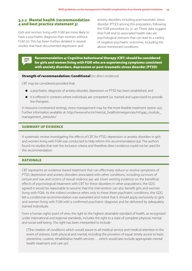# 3.2.2 Mental health (recommendation 4 and best practice statement 3)

Girls and women living with FGM are more likely to have a psychiatric diagnosis than women without FGM *(11)*. This has been further detailed in several studies that have documented depression and

anxiety disorders including post-traumatic stress disorder (PTSD) among this population, following the FGM procedure *(12, 37–41)*. These data suggest that FGM and its associated health risks are psychological stressors that can lead to a variety of negative psychiatric outcomes, including the above-mentioned conditions.



#### **Strength of recommendation: Conditional (no direct evidence)**

CBT may be considered provided that:

- a psychiatric diagnosis of anxiety disorder, depression or PTSD has been established, and
- $\bullet$  it is offered in contexts where individuals are competent (i.e. trained and supervised) to provide the therapies.

In resource-constrained settings, stress management may be the most feasible treatment option *(42).* Further information available at: http://www.who.int/mental\_health/emergencies/mhgap\_module\_ management\_stress/en/

#### SUMMARY OF EVIDENCE

A systematic review investigating the effects of CBT for PTSD, depression or anxiety disorders in girls and women living with FGM was conducted to help inform this recommendation *(43)*. The authors found no studies that met the inclusion criteria and therefore direct evidence could not be used for this recommendation.

### RATIONALE

CBT represents an evidence-based treatment that can effectively reduce or resolve symptoms of PTSD, depression and anxiety disorders associated with other conditions, including survivors of torture and war and victims of sexual violence *(44–46)*. Given existing evidence on the beneficial effects of psychological treatment with CBT for these disorders in other populations, the GDG agreed it would be reasonable to assume that this intervention can also benefit girls and women living with FGM. As the indirect evidence refers only to these three psychiatric conditions, the GDG felt a conditional recommendation was warranted and noted that it should apply exclusively to girls and women living with FGM with a confirmed psychiatric diagnosis and be delivered by adequately trained individuals.

From a human rights point of view, the right to the highest attainable standard of health, as recognized under international and regional standards, includes the right to a state of complete physical, mental and social well-being. The right has been interpreted to include:

[T]he creation of conditions which would assure to all medical service and medical attention in the event of sickness, both physical and mental, including the provision of equal, timely access to basic preventive, curative, rehabilitative health services . . . which would also include appropriate mental health treatment and care *(47)*.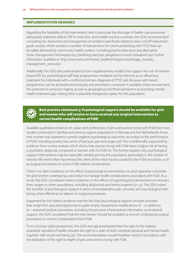#### IMPLEMENTATION REMARKS

Regarding the feasibility of this intervention, and in particular the shortage of health-care personnel adequately trained to deliver CBT in most low- and middle-income countries, the GDG recommended consulting the *Assessment and management of conditions specifically related to stress: mhGAP intervention guide module,* which contains a number of interventions for clients presenting with PTSD that can be safely delivered by community health workers, including psycho-education and alternative stress management techniques (e.g. breathing exercises, progressive muscle relaxation) *(42).* Further information available at: http://www.who.int/mental\_health/emergencies/mhgap\_module\_ management\_stress/en/

Additionally, the GDG discussed evidence from supplementary studies that support the use of Internetbased CBT (i.e. psychological self-help programmes mediated via the Internet) as an efficacious treatment for individuals with a confirmed primary diagnosis of PTSD *(48)*. Because web-based programmes can be accessed anonymously and anywhere a computer is available, these services have the potential to surmount stigma, as well as geographical and financial barriers to accessing mental health treatment *(49)*, making them a plausible therapeutic option for this population.



Best practice statement 3: Psychological support should be available for girls and women who will receive or have received any surgical intervention to correct health complications of FGM

Available qualitative evidence on values and preferences of girls and women living with FGM from two studies conducted in Gambia and among migrant populations in Norway and the Netherlands shows that women may experience several negative psychological outcomes secondary to the performance of FGM, including anxiety, fear, sense of betrayal, pain and anger *(50)*. This is additionally supported by evidence from a meta-analysis which shows that women living with FGM have a higher risk of having a psychiatric diagnosis compared to women with no FGM *(11)*. The former explains why psychological support interventions may be especially needed among this population, particularly in the context of stressful life events that may remind the client of the initial trauma caused by the FGM procedure, such as surgical procedures to correct FGM-related complications.

There is no direct evidence on the effect of psychological interventions on post-operative outcomes for girls/women undergoing a procedure to manage health complications associated with FGM. As a result, the GDG considered indirect evidence on the effects of psychological interventions on recovery from surgery in other populations, including abdominal and hernia surgeries *(51–52)*. The GDG noted the benefits of psychological support in terms of postoperative pain, recovery and psychological wellbeing, when offered as an adjunct to surgical procedures.

Supported by the indirect evidence and the fact that psychological support includes activities that range from special programmes to quite simple, inexpensive modifications of – or additions to – required medical procedures, including the provision of procedural information or emotional support, the GDG considered that the intervention should be available to women undergoing surgical procedures to correct complications from FGM.

From a human rights perspective, the GDG strongly emphasized that the right to the highest attainable standard of health includes the right to a state of both complete physical and mental health, together with social well-being *(47)*. This recommendation would therefore stand in accordance with the realization of the right to health of girls and women living with FGM.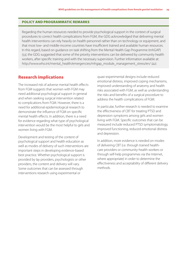#### POLICY AND PROGRAMMATIC REMARKS

Regarding the human resources needed to provide psychological support in the context of surgical procedures to correct health complications from FGM, the GDG acknowledged that delivering mental health interventions can rely heavily on health personnel rather than on technology or equipment, and that most low- and middle-income countries have insufficient trained and available human resources. In this regard, based on guidance on task shifting from the Mental Health Gap Programme (mhGAP) *(53)*, the GDG suggested that some of the priority interventions can be delivered by community health workers, after specific training and with the necessary supervision. Further information available at: http://www.who.int/mental\_health/emergencies/mhgap\_module\_management\_stress/en/ *(42).*

# Research implications

The increased risk of adverse mental health effects from FGM suggests that women with FGM may need additional psychological support in general and when seeking surgical intervention related to complications from FGM. However, there is a need for additional epidemiological research to demonstrate the influence of FGM on specific mental health effects. In addition, there is a need for evidence regarding what type of psychological intervention would be the most helpful to girls and women living with FGM.

Development and testing of the content of psychological support and health education as well as modes of delivery of such interventions are important steps in developing evidence-based best practice. Whether psychological support is provided by lay providers, psychologists or other providers, the content and delivery will vary. Some outcomes that can be assessed through interventions research using experimental or

quasi-experimental designs include reduced emotional distress, improved coping mechanisms, improved understanding of anatomy and health risks associated with FGM, as well as understanding the risks and benefits of a surgical procedure to address the health complications of FGM.

In particular, further research is needed to examine the effectiveness of CBT for treating PTSD and depression symptoms among girls and women living with FGM. Specific outcomes that can be measured include reduced PTSD symptomatology, improved functioning, reduced emotional distress and depression.

In addition, more evidence is needed on modes of delivering CBT (i.e. through trained healthcare providers or community-health workers or through self-help programmes via the Internet, where appropriate) in order to determine the effectiveness and acceptability of different delivery methods.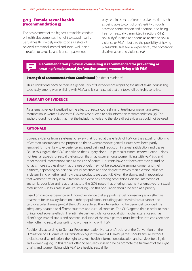# 3.2.3 Female sexual health (recommendation 5)

The achievement of the highest attainable standard of health also comprises the right to sexual health. Sexual health is widely understood as a state of physical, emotional, mental and social well-being in relation to sexuality and it encompasses not

only certain aspects of reproductive health – such as being able to control one's fertility through access to contraception and abortion, and being free from sexually transmitted infections (STIs), sexual dysfunction and sequelae related to sexual violence or FGM – but also the possibility of having pleasurable, safe sexual experiences, free of coercion, discrimination and violence *(54)*.

# Recommendation 5: Sexual counselling is recommended for preventing or treating female sexual dysfunction among women living with FGM

#### **Strength of recommendation: Conditional** (no direct evidence)

This is conditional because there is a general lack of direct evidence regarding the use of sexual counselling specifically among women living with FGM, and it is anticipated that this topic will be highly sensitive.

#### SUMMARY OF EVIDENCE

A systematic review investigating the effects of sexual counselling for treating or preventing sexual dysfunction in women living with FGM was conducted to help inform this recommendation *(55)*. The authors found no studies that met the inclusion criteria and therefore direct evidence could not be used.

#### RATIONALE

Current evidence from a systematic review that looked at the effects of FGM on the sexual functioning of women substantiates the proposition that a woman whose genital tissues have been partly removed is more likely to experience increased pain and reduction in sexual satisfaction and desire *(56)*. In this regard, the GDG underlined that surgery alone – in particular clitoral reconstruction – does not treat all aspects of sexual dysfunction that may occur among women living with FGM *(57)*, and other medical interventions such as the use of genital lubricants have not been extensively studied. What is more, studies show that the use of gels may not be acceptable among women and their partners, depending on personal sexual practices and the degree to which men exercise influence in determining whether and how these products are used *(58).* Given the above, and in recognition that women's sexuality is multifactorial and depends, among other things, on the interaction of anatomic, cognitive and relational factors, the GDG noted that offering treatment alternatives for sexual dysfunction – in this case sexual counselling – to this population should be seen as a priority.

Based on clinical experience and indirect evidence that supports sexual counselling as an effective treatment for sexual dysfunction in other populations, including patients with breast cancer and cardiovascular disease *(59–62)*, the GDG considered the intervention to be beneficial, provided it is adequately adapted to different countries and cultural contexts. The GDG agreed that in order to avoid unintended adverse effects, like intimate partner violence or social stigma, characteristics such as client's age, marital status and potential inclusion of the male partner must be taken into consideration when offering sexual counselling to women living with FGM.

Additionally, according to General Recommendation No. 24 on Article 12 of the Convention on the Elimination of All Forms of Discrimination against Women (CEDAW), parties should ensure, without prejudice or discrimination, the right to sexual health information, education and services for all girls and women *(63, 64)*. In this regard, offering sexual counselling helps promote the fulfilment of the right of girls and women living with FGM to a healthy sexual life.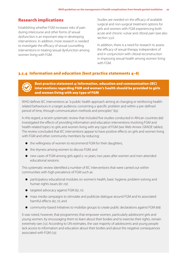# Research implications

Establishing whether FGM increases risks of pain during intercourse and other forms of sexual dysfunction is an important step in developing interventions. In addition, more research is needed to investigate the efficacy of sexual counselling interventions in treating sexual dysfunction among women living with FGM.

Studies are needed on the efficacy of available surgical and non-surgical treatment options for girls and women with FGM experiencing both acute and chronic vulvar and clitoral pain (see also section 3.3.1).

In addition, there is a need for research to assess the efficacy of sexual therapy independent of and in conjunction with clitoral reconstruction in improving sexual health among women living with FGM.

# 3.2.4 Information and education (best practice statements 4–8)

Best practice statement 4: Information, education and communication (IEC) interventions regarding FGM and women's health should be provided to girls and women living with any type of FGM

WHO defines IEC interventions as "a public health approach aiming at changing or reinforcing healthrelated behaviours in a target audience, concerning a specific problem and within a pre-defined period of time, through communication methods and principles" *(65)*.

In this regard, a recent systematic review that included five studies conducted in African countries *(66)* investigated the effects of providing information and education interventions involving FGM and health-related topics to girls and women living with any type of FGM (see Web Annex: GRADE tables). The review concluded that IEC interventions appear to have positive effects on girls and women living with FGM and other community members by reducing:

- $\bullet$  the willingness of women to recommend FGM for their daughters;
- the shyness among women to discuss FGM; and
- new cases of FGM among girls aged 5–10 years, two years after women and men attended educational sessions.

This systematic review identified a number of IEC interventions that were carried out within communities with high prevalence of FGM such as:

- participatory educational modules on women's health, basic hygiene, problem-solving and human rights issues *(67–70)*;
- targeted advocacy against FGM *(67, 71)*;
- mass media campaigns to stimulate and publicize dialogue around FGM and its associated harmful effects *(67, 71)*; and
- community-based initiatives to mobilize groups to create public declarations against FGM *(68)*.

It was noted, however, that programmes that empower women, particularly adolescent girls and young women, by encouraging them to learn about their bodies and to exercise their rights, remain extremely rare *(72)*. According to UN estimates, the vast majority of adolescents and young people lack access to information and education about their bodies and about the negative consequences associated with FGM *(73)*.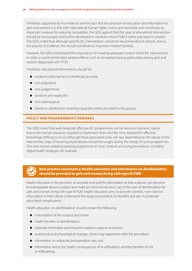Therefore, supported by the evidence and the fact that the provision of education and information to girls and women is in line with international human rights, norms and standards and constitutes an important measure for reducing inequalities, the GDG agreed that this type of educational intervention should be encouraged and further developed in countries where FGM is either practised or present. The GDG noted that although specific IEC interventions cannot be recommended at present, due to the paucity of evidence, this should constitute an important research priority.

However, the GDG emphasized the importance of ensuring adequate content of the IEC interventions in order to avoid unintended adverse effects, such as recreating trauma, particularly among girls and women diagnosed with PTSD.

Therefore, educational interventions should be:

- evidence-informed and scientifically accurate
- **•** non-prejudicial
- non-judgemental
- **•** sensitive and respectful
- non-stereotypical
- $\bullet$  based on adolescents' evolving capacities (when provided to this group).

# POLICY AND PROGRAMMATIC REMARKS

The GDG noted that well-designed, effective IEC programmes can be resource-intensive, mainly due to the human resources required to implement them and the time required for effective knowledge shifting to occur. Although these associated costs will vary depending on the nature of the intervention, ways of lowering expenditures should be sought during the design of such programmes. This may include adapting existing programmes to local contexts and using innovations, including digital health strategies, for example.

# Best practice statement 5: Health education and information on deinfibulation should be provided to girls and women living with type III FGM

Health education is the provision of accurate and truthful information so that a person can become knowledgeable about a subject and make an informed decision *(74)*. In the case of deinfibulation for girls and women living with type III FGM, health education aims to provide scientific, non-coercive information to help clients understand the surgical procedure, its benefits and also its potential associated complications.

Health education on deinfibulation should contain the following:

- a description of the surgical procedure;
- $\bullet$  health benefits of deinfibulation;
- potential immediate and long-term adverse surgical outcomes;
- anatomical and physiological changes clients may experience after the procedure;
- **•** information on adequate postoperative care; and
- information about the health consequences of re-infibulation and the benefits of not re-infibulating.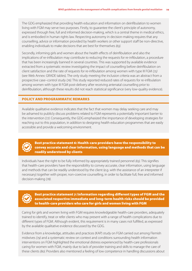The GDG emphasized that providing health education and information on deinfibulation to women living with FGM may serve two purposes. Firstly, to guarantee the client's principle of autonomy, expressed through free, full and informed decision-making, which is a central theme in medical ethics, and is embodied in human rights law. Respecting autonomy in decision-making requires that any counselling, advice or information provided by health workers or other support staff be non-directive, enabling individuals to make decisions that are best for themselves *(63)*.

Secondly, informing girls and women about the health effects of deinfibulation and also the implications of re-infibulation may contribute to reducing the requests for re-infibulation, a procedure that has been increasingly banned in several countries. This was supported by available evidence extracted from a systematic review investigating the impact of counselling before deinfibulation on client satisfaction and the rate of requests for re-infibulation among women with type III FGM *(75)*  (see Web Annex: GRADE tables). The only study meeting the inclusion criteria was an abstract from a prospective case–control study *(76).* This study reported reduced rates of requests for re-infibulation among women with type III FGM post-delivery after receiving antenatal counselling prior to deinfibulation, although these results did not reach statistical significance (very low-quality evidence).

# POLICY AND PROGRAMMATIC REMARKS

Available qualitative evidence indicates that the fact that women may delay seeking care and may be ashamed to publicly discuss problems related to FGM represents a potentially important barrier to the intervention *(77)*. Consequently, the GDG emphasized the importance of developing strategies for reaching out to this population, in addition to designing health education programmes that are easily accessible and provide a welcoming environment.



Best practice statement 6: Health-care providers have the responsibility to convey accurate and clear information, using language and methods that can be readily understood by clients

Individuals have the right to be fully informed by appropriately trained personnel *(63)*. This signifies that health-care providers have the responsibility to convey accurate, clear information, using language and methods that can be readily understood by the client (e.g. with the assistance of an interpreter if necessary) together with proper, non-coercive counselling, in order to facilitate full, free and informed decision-making *(78)*.



Best practice statement 7: Information regarding different types of FGM and the associated respective immediate and long-term health risks should be provided to health-care providers who care for girls and women living with FGM

Caring for girls and women living with FGM requires knowledgeable health-care providers, adequately trained to identify, treat or refer clients who may present with a range of health complications due to different types of FGM. Although evident, this requirement is in many cases not fulfilled, as expressed by the available qualitative evidence discussed by the GDG.

Evidence from a knowledge, attitudes and practices (KAP) study on FGM carried out among Flemish midwives *(79)* and a systematic review on context and conditions surrounding health information interventions on FGM highlighted the emotional distress experienced by health-care professionals caring for women with FGM, mainly due to lack of provider training and skills to manage the care of these clients *(80)*. Providers also mentioned a feeling of low competence in handling discussions about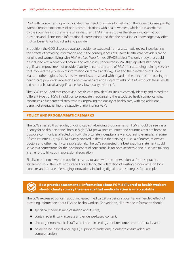FGM with women, and openly indicated their need for more information on the subject. Consequently, women report experiences of poor communications with health workers, which are exacerbated by their own feelings of shyness while discussing FGM. These studies therefore indicate that both providers and clients need informational interventions and that the provision of knowledge may offer mutual benefits for both client and provider.

In addition, the GDG discussed available evidence extracted from a systematic review investigating the effects of providing information about the consequences of FGM to health-care providers caring for girls and women living with FGM *(81)* (see Web Annex: GRADE tables). The only study that could be included was a controlled before-and-after study conducted in Mali that reported statistically significant improvement of providers' ability to name any type of FGM after attending training sessions that involved the provision of information on female anatomy, FGM and the prevalence of FGM in Mali and other regions *(82)*. A positive trend was observed with regard to the effects of the training on health-care providers' knowledge about immediate and long-term risks of FGM, although these results did not reach statistical significance (very low-quality evidence)*.*

The GDG concluded that improving health-care providers' abilities to correctly identify and record the different types of FGM, in addition to adequately recognizing the associated health complications, constitutes a fundamental step towards improving the quality of health care, with the additional benefit of strengthening the capacity of monitoring FGM.

# POLICY AND PROGRAMMATIC REMARKS

The GDG stressed that regular, ongoing capacity-building programmes on FGM should be seen as a priority for health personnel, both in high-FGM-prevalence countries and countries that are home to diaspora communities affected by FGM. Unfortunately, despite a few encouraging examples in some African countries *(83, 84)*, FGM is rarely covered in detail in the training curricula of nurses, midwives, doctors and other health-care professionals. The GDG suggested this best practice statement could serve as a cornerstone for the development of core curricula for both academic and in-service training in an effort to fill gaps in professional education.

Finally, in order to lower the possible costs associated with the intervention, as for best practice statement No. 4, the GDG encouraged considering the adaptation of existing programmes to local contexts and the use of emerging innovations, including digital health strategies, for example.



# Best practice statement 8: Information about FGM delivered to health workers should clearly convey the message that medicalization is unacceptable

The GDG expressed concern about increased medicalization being a potential unintended effect of providing information about FGM to health workers. To avoid this, all provided information should:

- **•** specifically address medicalization and its risks;
- contain scientifically accurate and evidence-based content;
- also target non-medical staff, who in certain settings perform some health-care tasks; and
- be delivered in local languages (i.e. proper translations) in order to ensure adequate comprehension.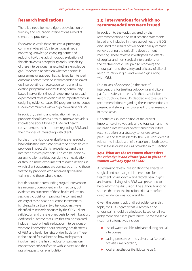# Research implications

There is a need for more rigorous evaluation of training and education interventions aimed at clients and providers.

For example, while there are several promising community-based IEC interventions aimed at improving knowledge, changing norms and reducing FGM, the lack of rigorous evaluations of the effectiveness, acceptability and sustainability of these interventions has resulted in a knowledge gap. Evidence is needed on whether a particular programme or approach has achieved its intended outcomes before it can be recommended or scaled up. Incorporating an evaluation component into existing programmes and/or testing communitybased interventions through experimental or quasiexperimental research designs is an important step in designing evidence-based IEC programmes to reduce FGM in communities with a high prevalence of FGM.

In addition, training and education aimed at providers should assess how to improve providers' knowledge about types of FGM and health consequences, their attitudes regarding FGM, and their manner of interacting with clients.

Further, more rigorous evaluations are needed on how education interventions aimed at health-care providers impact clients' experiences and their interactions with providers. This can be done by assessing client satisfaction during an evaluation or through more experimental research designs in which client outcomes are compared among those treated by providers who received specialized training and those who did not.

Health education surrounding surgical intervention is a necessary component in informed care, but evidence on outcomes of these health education sessions is crucial for improving the content and delivery of these health education interventions for clients. In particular, two key outcomes were identified as research priorities by the GDG – client satisfaction and the rate of requests for re-infibulation. Additional outcome measures that can be explored include impact of health education interventions on women's knowledge about anatomy, health effects of FGM, and health benefits of deinfibulation. There is also a need for evidence on how male partner involvement in the health education process can impact women's satisfaction with services, and their rate of requests for re-infibulation.

# 3.3 Interventions for which no recommendations were issued

In addition to the topics covered by the recommendations and best practice statements issued and included in these guidelines, the GDG discussed the results of two additional systematic reviews during the guideline development meeting. These reviews investigated the effects of surgical and non-surgical interventions for the treatment of vulvar pain (vulvodynia) and clitoral pain, and the safety and efficacy of clitoral reconstruction in girls and women girls living with FGM.

Due to lack of evidence (in the case of interventions for treating vulvodynia and clitoral pain) and safety concerns (in the case of clitoral reconstruction), the GDG decided not to issue any recommendations regarding these interventions at present and strongly encouraged further research in these areas.

Nonetheless, in recognition of the clinical importance of vulvodynia and clitoral pain and the increasing interest and advertisement for clitoral reconstruction as a strategy to restore sexual pleasure and female identity, the GDG considered it relevant to include a brief discussion of both topics within these guidelines, as provided in this section.

### *3.3.1 What are the treatment alternatives for vulvodynia and clitoral pain in girls and women with any type of FGM?*

A systematic review investigating the effects of surgical and non-surgical interventions for the treatment of vulvodynia and clitoral pain in girls and women living with FGM was presented to help inform this discussion. The authors found no studies that met the inclusion criteria therefore direct evidence was not available.

Given the current lack of direct evidence in this topic, the GDG agreed that vulvodynia and clitoral pain should be alleviated based on clinical judgement and client preferences. Some available treatment alternatives include:

- use of water-soluble lubricants during sexual intercourse
- $\bullet$  easing pressure on the vulvar area (i.e. avoid activities like bicycling)
- **·** local anaesthetics (i.e. lidocaine gel).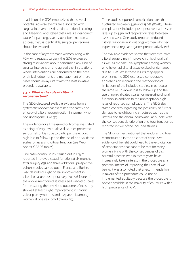In addition, the GDG emphasized that several potential adverse events are associated with surgical interventions (i.e. pain, additional scarring and bleeding) and stated that unless a clear direct cause for pain (e.g. scar tissue, clitoral neuroma, abscess, cyst) is identifiable, surgical procedures should be avoided.

In the case of asymptomatic women living with FGM who request surgery, the GDG expressed strong reservations about performing any kind of surgical intervention and agreed that in situations where interventions are performed on the basis of clinical judgement, the management of these cases should always start with the least invasive procedure available.

## *3.3.2 What is the role of clitoral reconstruction?*

The GDG discussed available evidence from a systematic review that examined the safety and efficacy of clitoral reconstruction in women who had undergone FGM *(57)*.

The evidence for all measured outcomes was rated as being of very low quality; all studies presented serious risk of bias due to participant selection, high loss to follow-up and the use of non-validated scales for assessing clitoral function (see Web Annex: GRADE tables).

One case–control study carried out in Egypt reported improved sexual function at six months after surgery *(85)*, and three additional prospective cohort studies carried out in France and Burkina Faso described slight or real improvement in clitoral pleasure postoperatively *(86–88)*. None of the above-mentioned studies used validated scales for measuring the described outcomes. One study showed at least slight improvement in chronic vulvar pain symptoms and dyspareunia among women at one year of follow-up *(87)*.

Three studies reported complication rates that fluctuated between 5.3% and 23.6% *(86–88)*. These complications included postoperative readmission rates up to 5.3% and reoperation rates between 3.7% and 4.2%. One study reported reduced clitoral response in 12 out of 53 women who had experienced regular orgasms preoperatively *(87)*.

The available evidence shows that reconstructive clitoral surgery may improve chronic clitoral pain as well as dyspareunia symptoms among women who have had clitoral tissue excised or damaged due to FGM. While these results may appear promising, the GDG expressed considerable apprehension regarding the methodological limitations of the included studies, in particular the large or unknown loss to follow-up and the use of non-validated scales for measuring clitoral function, in addition to the unacceptably high rates of reported complications. The GDG also stated concern regarding the possibility of further damage to neighbouring structures such as the urethra and the clitoral neurovascular bundle, with the consequent deterioration of clitoral function as reported in two of the included studies.

The GDG further cautioned that endorsing clitoral reconstruction in the absence of conclusive evidence of benefit could lead to the exploitation of expectations that cannot be met for many women living with the consequences of this harmful practice, who in recent years have increasingly taken interest in the procedure as a potential means of improving their sexual wellbeing. It was also noted that a recommendation in favour of this procedure could not be implemented equitably because the procedure is not yet available in the majority of countries with a high prevalence of FGM.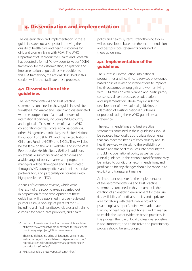# 4. Dissemination and implementation

The dissemination and implementation of these guidelines are crucial steps for improving the quality of health care and health outcomes for girls and women living with FGM. The WHO Department of Reproductive Health and Research has adopted a formal "Knowledge-to-Action" (KTA) framework for the dissemination, adaptation and implementation of quidelines.<sup>10</sup> In addition to this KTA framework, the actions described in this section will further facilitate these processes.

# 4.1 Dissemination of the guidelines

The recommendations and best practice statements contained in these guidelines will be translated into Arabic and French and disseminated with the cooperation of a broad network of international partners, including: WHO country and regional offices; ministries of health; WHO collaborating centres; professional associations; other UN agencies, particularly the United Nations Population Fund (UNFPA) and the United Nations Children's Fund (UNICEF); and NGOs. They will also be available on the WHO website<sup>11</sup> and in the WHO Reproductive Health Library (RHL).<sup>12</sup> In addition, an executive summary aimed at clinicians and a wide range of policy-makers and programme managers will be developed and disseminated through WHO country offices and their respective partners, focusing particularly on countries with high prevalence of FGM.

A series of systematic reviews, which were the result of the scoping exercise carried out in preparation for the development of these guidelines, will be published in a peer-reviewed journal. Lastly, a package of practical tools – including a clinical handbook, job aids and training curricula for health-care providers, and health

policy and health systems strengthening tools – will be developed based on the recommendations and best practice statements contained in these guidelines.

# 4.2 Implementation of the guidelines

The successful introduction into national programmes and health-care services of evidencebased policies related to interventions to improve health outcomes among girls and women living with FGM relies on well-planned and participatory, consensus-driven processes of adaptation and implementation. These may include the development of new national guidelines or adaptation of existing national guidelines or protocols using these WHO guidelines as a reference.

The recommendations and best practice statements contained in these guidelines should be adapted into locally appropriate documents that can meet the needs of each country and its health services, while taking the availability of human and financial resources into account; this should include national policy as well as local clinical guidance. In this context, modifications may be limited to conditional recommendations, and justification for any changes should be made in an explicit and transparent manner.

An important requisite for the implementation of the recommendations and best practice statements contained in this document is the creation of an enabling environment for their use (i.e. availability of medical supplies and a private area for talking with clients while providing psychological support), paired with adequate training of health-care practitioners and managers to enable the use of evidence-based practices. In this process, the role of local professional societies is also important, and an inclusive and participatory process should be encouraged.

<sup>10</sup> Further information on the KTA Framework is available at: http://www.who.int/reproductivehealth/topics/best\_ practices/greatproject\_KTAframework/en/

<sup>11</sup> These guidelines, including all language versions and web annexes, will be available at: http://www.who.int/ reproductivehealth/topics/fgm/management-healthcomplications-fgm/en/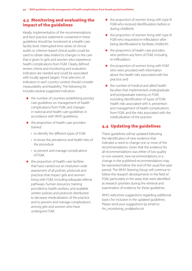# 4.3 Monitoring and evaluating the impact of the guidelines

Ideally, implementation of the recommendations and best practice statements contained in these guidelines should be monitored at a health-care facility level. Interrupted time-series of clinical audits or criterion-based clinical audits could be used to obtain data related to changes in the care that is given to girls and women who experience health complications from FGM. Clearly defined review criteria and monitoring and evaluation indicators are needed and could be associated with locally agreed targets. Final selection of indicators in each country context should consider measurability and feasibility. The following list includes several suggested indicators:

- $\bullet$  the number of countries establishing primary care guidelines on management of health complications from FGM, and changes in national and health-care guidelines in accordance with WHO guidelines;
- the proportion of health-care providers trained:
	- to identify the different types of FGM
	- to know the prevalence and health risks of the procedure
	- to prevent and manage complications of FGM;
- the proportion of health-care facilities that have carried out an institution-wide assessment of all policies, protocols and practices that impact girls and women living with FGM, including adequate referral pathways, human resources, training provided to health workers, and available written policies and protocols distributed to decrease medicalization of the practice and to prevent and manage complications among girls and women who have undergone FGM;
- $\bullet$  the proportion of women living with type III FGM who received deinfibulation before or during childbirth;
- $\bullet$  the proportion of women living with type III FGM who requested re-infibulation after being deinfibulated to facilitate childbirth;
- the proportion of health-care providers who perform any form of FGM, including re-infibulation;
- the proportion of women living with FGM who were provided with information about the health risks associated with the practice; and
- the number of medical and allied health faculties that implemented undergraduate and postgraduate training on FGM, including identification of types of FGM, health risks associated with it, prevention and management of health complications from FGM, and the risks associated with the medicalization of the practice.

# 4.4 Updating the guidelines

These guidelines will be updated following the identification of new evidence that indicates a need to change one or more of the recommendations. Given that the evidence for all recommendations was either of low quality or non-existent, new recommendations or a change in the published recommendations may be warranted before the end of the usual five-year period. The WHO Steering Group will continue to follow the research developments in the field of FGM, particularly in the areas that were identified as research priorities during the retrieval and examination of evidence for these guidelines.

WHO welcomes suggestions regarding additional topics for inclusion in the updated guidelines. Please send your suggestions by email to: rhr\_monitoring\_eval@who.int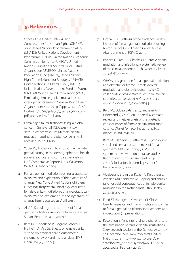# 5. References

- 1. Office of the United Nations High Commissioner for Human Rights (OHCHR), Joint United Nations Programme on AIDS (UNAIDS), United Nations Development Programme (UNDP), United Nations Economic Commission for Africa (UNECA), United Nations Educational, Scientific and Cultural Organization (UNESCO), United Nations Population Fund (UNFPA), United Nations High Commissioner for Refugees (UNHCR), United Nations Children's Fund (UNICEF), United Nations Development Fund for Women (UNIFEM), World Health Organization (WHO). Eliminating female genital mutilation: an interagency statement. Geneva: World Health Organization; 2008 (http://apps.who.int/iris/ bitstream/10665/43839/1/9789241596442\_eng. pdf, accessed 26 April 2016).
- 2. Female genital mutilation/cutting: a global concern. Geneva: UNICEF; 2016 (http:// data.unicef.org/resources/female-genitalmutilation-cutting-a-global-concern.html, accessed 26 April 2016).
- 3. Yoder PS, Abderrahim N, Zhuzhuni A. Female genital cutting in the demographic and health surveys: a critical and comparative analysis. DHS Comparative Reports No. 7. Calverton (MD): ORC Macro; 2004.
- 4. Female genital mutilation/cutting: a statistical overview and exploration of the dynamics of change. New York: United Nations Children's Fund; 2013 (http://data.unicef.org/resources/ female-genital-mutilation-cutting-a-statisticaloverview-and-exploration-of-the-dynamics-ofchange.html, accessed 26 April 2016).
- 5. Ali AA. Knowledge and attitudes of female genital mutilation among midwives in Eastern Sudan. Reprod Health. 2012;9:23.
- 6. Berg RC, Underland V, Odgaard-Jensen J, Fretheim A, Vist GE. Effects of female genital cutting on physical health outcomes: a systematic review and meta-analysis. BMJ Open. 2014;4(11):e006316.
- 7. Kimani S. A synthesis of the evidence: health impacts of female genital mutilation/cutting. Nairobi: Africa Coordinating Center for the Abandonment of FGM/C; 2015.
- 8. Iavazzo C, Sardi TA, Gkegkes ID. Female genital mutilation and infections: a systematic review of the clinical evidence. Arch Gynecol Obstet. 2013;287(6):1137–49.
- 9. WHO study group on female genital mutilation and obstetric outcome. Female genital mutilation and obstetric outcome: WHO collaborative prospective study in six African countries. Lancet. 2006;367(9525):1835–41. doi:10.1016/S0140-6736(06)68805-3.
- 10. Berg RC, Odgaard-Jensen J, Fretheim A, Underland V, Vist G. An updated systematic review and meta-analysis of the obstetric consequences of female genital mutilation/ cutting. Obstet Gynecol Int. 2014:542859. doi:10.1155/2014/542859.
- 11. Berg RC, Denison E, Fretheim A. Psychological, social and sexual consequences of female genital mutilation/cutting (FGM/C): a systematic review on quantitative studies. Report from Kunnskapssenteret nr 13- 2010. Oslo: Nasjonalt kunnskapssenter for helsetjenesten; 2010.
- 12. Vloeberghs E, van der Kwaak A, Knipsheer J, van den Muijsenbergh M. Coping and chronic psychosocial consequences of female genital mutilation in the Netherlands. Ethn Health. 2012;17(6):677–95.
- 13. Fried ST, Banerjee J, Kowalchuk J, Chiliza J. Gender equality and human rights approaches to female genital mutilation: interventions and impact. 2015 (in preparation).
- 14. Resolution 67/146. Intensifying global efforts for the elimination of female genital mutilations. Sixty-seventh session of the General Assembly, 20 December 2012. New York (NY): United Nations; 2013 (http://www.un.org/en/ga/ search/view\_doc.asp?symbol=A/RES/67/146, accessed 23 February 2016).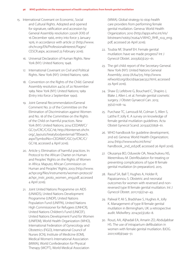- 15. International Covenant on Economic, Social and Cultural Rights. Adopted and opened for signature, ratification and accession by General Assembly resolution 2200A (XXI) of 16 December 1966, entry into force 3 January 1976, in accordance with article 27 (http://www. ohchr.org/EN/ProfessionalInterest/Pages/ CESCR.aspx, accessed 23 February 2016).
	- 16. Universal Declaration of Human Rights. New York (NY): United Nations; 1948.
	- 17. International Covenant on Civil and Political Rights. New York (NY): United Nations; 1966.
	- 18. Convention on the Rights of the Child. General Assembly resolution 44/25 of 20 November 1989. New York (NY): United Nations; 1989 (Entry into force 2 September 1990).
	- 19. Joint General Recommendation/General Comment No. 31 of the Committee on the Elimination of Discrimination against Women and No. 18 of the Committee on the Rights of the Child on harmful practices. New York (NY): United Nations; 2014 (CEDAW/C/ GC/31/CRC/C/GC/18; http://tbinternet.ohchr. org/\_layouts/treatybodyexternal/TBSearch. aspx?SymbolNo=CEDAW/C/GC/31/CRC/C/ GC/18, accessed 4 April 2016).
	- 20. Article 5: Elimination of harmful practices. In: Protocol to the African Charter on Human and Peoples' Rights on the Rights of Women in Africa. Maputo; African Commission on Human and Peoples' Rights; 2003 (http://www. achpr.org/files/instruments/women-protocol/ achpr\_instr\_proto\_women\_eng.pdf, accessed 4 April 2016).
	- 21. Joint United Nations Programme on AIDS (UNAIDS), United Nations Development Programme (UNDP), United Nations Population Fund (UNFPA), United Nations High Commissioner for Refugees (UNHCR), United Nations Children's Fund (UNICEF), United Nations Development Fund for Women (UNIFEM), World Health Organization (WHO), International Federation of Gynecology and Obstetrics (FIGO), International Council of Nurses (ICN), Institute of Medicine (IOM), Medical Women's International Association (MWIA), World Confederation for Physical Therapy (WCPT), World Medical Association

(WMA). Global strategy to stop health care providers from performing female genital mutilation. Geneva: World Health Organization; 2010 (http://apps.who.int/iris/ bitstream/10665/70264/1/WHO\_RHR\_10.9\_eng. pdf, accessed 26 April 2016).

- 22. Toubia NF, Sharief EH. Female genital mutilation: have we made progress? Int J Gynecol Obstet. 2003;82(3):251–61.
- 23. The girl child: report of the Secretary-General. New York (NY): United Nations General Assembly; 2009 (A/64/315; http://www. refworld.org/docid/4ac9ac552.html, accessed 29 April 2016).
- 24. Shaw D, Lefebvre G, Bouchard C, Shapiro J, Blake J, Allen L et al. Female genital cosmetic surgery. J Obstet Gynaecol Can. 2013; 35(12):1108–14.
- 25. Purchase TC, Lamoudi M, Colman S, Allen S, Latthe P, Jolly K. A survey on knowledge of female genital mutilation guidelines. Acta Obstet Gynecol Scand. 2013;92(7):858–61.
- 26. WHO handbook for guideline development, 2nd ed. Geneva: World Health Organization; 2014 (http://www.who.int/kms/ handbook\_2nd\_ed.pdf, accessed 26 April 2016).
- 27. Okusanya BO, Oduwole OA, Nwachukwu NS, Meremikwu M. Deinfibulation for treating or preventing complications of type III female genital mutilation (in preparation). 2015.
- 28. Raouf SA, Ball T, Hughes A, Holder R, Papaioannou S. Obstetric and neonatal outcomes for women with reversed and nonreversed type III female genital mutilation. Int J Gynecol Obstet. 2011;113(2):141–43.
- 29. Paliwal P, Ali S, Bradshaw S, Hughes A, Jolly K. Management of type III female genital mutilation in Birmingham, UK: a retrospective audit. Midwifery. 2014;30(3):282–8.
- 30. Rouzi, AA, Aljhadali EA, Amarin ZO, Abduljabbar HS. The use of intrapartum defibulation in women with female genital mutilation. BJOG. 2001;108(9):949–51.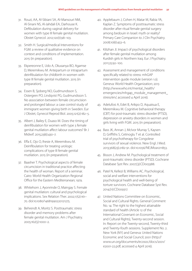- 31. Rouzi, AA, Al-Sibiani SA, Al-Mansouri NM, Al-Sinani NS, Al-Jahdali EA, Darhouse K. Defibulation during vaginal delivery for women with type III female genital mutilation. Obstet Gynecol. 2012;120(1):98–103.
- 32. Smith H. Surgical/medical Interventions for FGM: a review of qualitative evidence on context and conditions of implementation. 2015 (in preparation).
- 33. Ekpereonne E, Udo A, Okusanya BO, Agamse D, Meremikwu M. Antepartum or intrapartum deinfibulation for childbirth in women with type III female genital mutilation. 2015 (in preparation).
- 34. Essen B, Sjoberg NO, Gudmundsson S, Ostergren PO, Lindqvist PG, Gudmundsson S. No association between female circumcision and prolonged labour: a case control study of immigrant women giving birth in Sweden. Eur J Obstet, Gynecol Reprod Biol. 2005;121(2):182–5.
- 35. Albert J, Bailey E, Duaso M. Does the timing of deinfibulation for women with type 3 female genital mutilation affect labour outcomes? Br J Midwif. 2015;23(6):430–7.
- 36. Effa E, Ojo O, Ihesie A, Meremikwu M. Deinfibulation for treating urologic complications of type III female genital mutilation. 2015 (in preparation).
- 37. Baasher T. Psychological aspects of female circumcision in traditional practice affecting the health of woman. Report of a seminar. Cairo: World Health Organization Regional Office for the Eastern Mediterranean; 1979.
- 38. Whitehorn J, Ayonrinde O, Maingay S. Female genital mutilation: cultural and psychological implications. Sex Relation Ther. 2002;17(2):161– 70. doi:10.1080/14681990220121275.
- 39. Behrendt A, Moritz S. Posttraumatic stress disorder and memory problems after female genital mutilation. Am J Psychiatry. 2005;162(5):1000–2.
- 40. Applebaum J, Cohen H, Matar M, Rabia YA, Kaplan Z. Symptoms of posttraumatic stress disorder after ritual female genital surgery among bedouin in Israel: myth or reality? Primary Care Companion to J Clin Psychiatry. 2008;10(6):453–6.
- 41. Kilizhan JI. Impact of psychological disorders after female genital mutilation among Kurdish girls in Northern Iraq. Eur J Psychiatry. 2011;25:92–100.
- 42. Assessment and management of conditions specifically related to stress: mhGAP intervention guide module (version 1.0). Geneva: World Health Organization; 2013 (http://www.who.int/mental\_health/ emergencies/mhgap\_module\_management stress/en/, accessed 4 April 2016).
- 43. Adelufosi A, Edet B, Arikpo D, Aquaisua E, Meremikwu M. Cognitive behavioral therapy (CBT) for post-traumatic stress disorder (PTSD), depression or anxiety disorders in women and girls living with FGM. 2015 (in preparation).
- 44. Bass JK, Annan J, McIvor Murray S, Kaysen D, Griffiths S, Cetinoglu T et al. Controlled trial of psychotherapy for Congolese survivors of sexual violence. New Engl J Med. 2013;368(23):2182-91. doi:10.1056/NEJMoa1211853.
- 45. Bisson J, Andrew M. Psychological treatment of post-traumatic stress disorder (PTSD). Cochrane Database Syst Rev. 2007;(3):CD003388.
- 46. Patel N, Kellezi B, Williams AC. Psychological, social and welfare interventions for psychological health and well-being of torture survivors. Cochrane Database Syst Rev. 2014;(11):CD009317.
- 47. United Nations Committee on Economic, Social and Cultural Rights. General Comment No. 14: The right to the highest attainable standard of health (Article 12 of the International Covenant on Economic, Social and Cultural Rights), Twenty-second session. In: Report on the Twenty-second, Twenty-third and Twenty-fouth sessions. Supplement No. 2. New York (NY) and Geneva: United Nations Economic and Social Council; 2001 (http:// www.un.org/documents/ecosoc/docs/2001/ e2001-22.pdf, accessed 4 April 2016).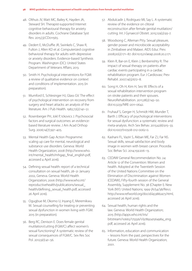#### 38 *WHO guidelines on the management of health complications from female genital mutilation*

- 48. Olthuis JV, Watt MC, Bailey K, Hayden JA, Steward SH. Therapist-supported Internet cognitive behavioural therapy for anxiety disorders in adults. Cochrane Database Syst Rev. 2015;(3):CD011565.
- 49. Dedert E, McDuffie JR, Swinkels C, Shaw R, Fulton J, Allen KD et al. Computerized cognitive behavioral therapy for adults with depressive or anxiety disorders. Evidence-based Synthesis Program. Washington (DC): United States Department of Veterans Affairs; 2013.
- 50. Smith H. Psychological interventions for FGM: a review of qualitative evidence on context and conditions of implementation. 2015 (in preparation).
- 51. Mumford E, Schlesinger HJ, Glass GV. The effect of psychological intervention on recovery from surgery and heart attacks: an analysis of the literature. Am J Pub Health. 1982;72(2):141–51.
- 52. Rosenberger PH, Jokl P, Ickovics J. Psychosocial factors and surgical outcomes: an evidencebased literature review. J Am Acad Orthop Surg. 2006;14(7):397–405.
- 53. Mental Health Gap Action Programme: scaling up care for mental, neurological and substance use disorders. Geneva: World Health Organization; 2008 (http://www.who. int/mental\_health/mhgap\_final\_english.pdf, accessed 4 April 2016).
- 54. Defining sexual health: report of a technical consultation on sexual health, 28–31 January 2002, Geneva. Geneva: World Health Organization; 2006 (http://www.who.int/ reproductivehealth/publications/sexual\_ health/defining\_sexual\_health.pdf, accessed 26 April 2016).
- 55. Ogugbue M, Okomo U, Inyang E, Meremikwu M. Sexual counselling for treating or preventing sexual dysfunction in women living with FGM. 2015 (in preparation).
- 56. Berg RC, Denison E. Does female genital mutilation/cutting (FGM/C) affect women's sexual functioning? A systematic review of the sexual consequences of FGM/C. Sex Res Soc Pol. 2012;9(1):41-56.
- 57. Abdulcadir J, Rodriguez MI, Say L. A systematic review of the evidence on clitoral reconstruction after female genital mutilation/ cutting. Int J Gynaecol Obstet. 2015;129(2):93–7.
- 58. Woodsong C, Alleman Ptty. Sexual pleasure, gender power and microbicide acceptability in Zimbabwe and Malawi. AIDS Educ Prev. 2008;20(2):171–87. doi:10.1521/aeap.2008.20.2.171.
- 59. Klein R, Bar-on E, Klein J, Benbenishty R. The impact of sexual therapy on patients after cardiac events participating in a cardiac rehabilitation program. Eur J Cardiovasc Prev Rehabil. 2007;14(5):672–8.
- 60. Song H, Oh H, Kim H, Seo W. Effects of a sexual rehabilitation intervention program on stroke patients and their spouses. NeuroRehabilitation. 2011;28(2):143–50. doi:10.3233/NRE-2011-0642.
- 61. Fruhauf S, Gerger H, Schmidt HM, Munder T, Barth J. Efficacy of psychological interventions for sexual dysfunction: a systematic review and meta-analysis. Arch Sex Behav. 2013;42(6):915–33. doi:10.1007/s10508-012-0062-0.
- 62. Kashani FL, Vaziri S, Akbari ME, Far ZJ, Far NS. Sexual skills, sexual satisfaction and body image in women with breast cancer. Procedia Soc Behav Sci. 2014;159:206–13.
- 63. CEDAW General Recommendation No. 24: Article 12 of the Convention: Women and health. Adopted at the Twentieth Session of the United Nations Committee on the Elimination of Discrimination against Women (CEDAW), Fifty-fourth session of the General Assembly, Supplement No. 38 (Chapter I). New York (NY): United Nations; 1999 (A/54/38/Rev.1; http://www.refworld.org/docid/453882a73.html, accessed 26 April 2016).
- 64. Sexual health, human rights and the law. Geneva: World Health Organization; 2015 (http://apps.who.int/iris/ bitstream/10665/175556/1/9789241564984\_eng. pdf, accessed 26 April 2016).
- 65. Information, education and communication – lessons from the past; perspectives for the future. Geneva: World Health Organization; 2001.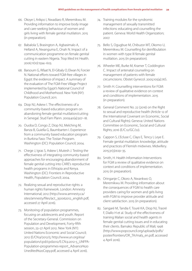- 66. Okoye I, Arikpo I, Nwadiaro R, Meremikwu M. Providing information to improve body image and care-seeking behaviour of women and girls living with female genital mutilation. 2015 (in preparation).
- 67. Babalola S, Brasington A, Agbasimalo A, Helland A, Nwanguma E, Onah N. Impact of a communication programme on female genital cutting in eastern Nigeria. Trop Med Int Health. 2006;11(10):1594–603.
- 68. Barsoum G, Rifaat N, El-Gibaly O, Elwan N, Forcier N. National efforts toward FGM-free villages in Egypt: the evidence of impact. A summary of the evaluation of The FGM-Free Village Project implemented by Egypt's National Council of Childhood and Motherhood. New York (NY): Population Council; 2011.
- 69. Diop NJ, Askew I. The effectiveness of a community-based education program on abandoning female genital mutilation/cutting in Senegal. Stud Fam Plann. 2009;40(4):307–18.
- 70. Ouoba D, Congo Z, Diop NJ, Melching M, Banza B, Guiella G, Baumbarten I. Experience from a community based education program in Burkina Faso: The Tostan Program. Washington (DC): Population Council; 2004.
- 71. Chege J, Igras S, Askew I, Mutesh J. Testing the effectiveness of integrating community-based approaches for encouraging abandonment of female genital cutting into CARE's reproductive health programs in Ethiopia and Kenya. Washington (DC): Frontiers in Reproductive Health, Population Council; 2004.
- 72. Realizing sexual and reproductive rights: a human rights framework. London: Amnesty International; 2012 (http://www.amnesty.ca/ sites/amnesty/files/act\_350062012\_english.pdf, accessed 27 April 2016).
- 73. Monitoring of population programmes, focusing on adolescents and youth. Report of the Secretary-General. Commission on Population and Development, Forty-fifth session, 23–27 April 2012. New York (NY): United Nations Economic and Social Council; 2012 (E/CN.9/2012/5; http://www.un.org/esa/ population/cpd/cpd2012/E.CN.9.2012-5\_UNFPA-Population-programmes-report\_Advance%20 Unedited%20Copy.pdf, accessed 4 April 2016).
- 74. Training modules for the syndromic management of sexually transmitted infections: educating and counselling the patient. Geneva: World Health Organization; 2007.
- 75. Bello S, Ogugbue M, Chibuzor MT, Okomo U, Meremikwu M. Counselling for deinfibulation in women with type III female genital mutilation. 2015 (in preparation).
- 76. Wheeler ME, Burke M, Kramer T, Coddington C. Impact of antenatal counseling on management of patients with female circumcisions. Obstet Gynecol. 2005;105(4):76S.
- 77. Smith H. Counselling interventions for FGM: a review of qualitative evidence on context and conditions of implementation. 2015 (in preparation).
- 78. General Comment No. 22 (2016) on the Right to sexual and reproductive health (Article 12 of the International Covenant on Economic, Social and Cultural Rights). Geneva: United Nations Committee on Economic, Social and Cultural Rights; 2016 (E/C.12/GC/22).
- 79. Cappon S, L'Ecluse C, Clays E, Tency I, Leye E. Female genital mutilation: knowledge, attitude and practices of Flemish midwives. Midwifery. 2015;31(3):e29–35.
- 80. Smith, H. Health Information Interventions for FGM a review of qualitative evidence on context and conditions of implementation. 2015 (in preparation).
- 81. Oringanje C, Okoro A, Nwankwo O, Meremikwu M. Providing information about the consequences of FGM to health care providers caring for women and girls living with FGM to improve provider attitude and client satisfaction. 2015 (in preparation).
- 82. Sangaré M, Tandia F, Touré KA, Diop NJ, Traoré F, Diallo H et al. Study of the effectiveness of training Malian social and health agents in female genital cutting issues and in educating their clients. Bamako: Republic of Mali; 1998 (http://www.popcouncil.org/uploads/pdfs/ poster/frontiers/OR\_TA/mal3\_en.pdf, accessed 4 April 2016).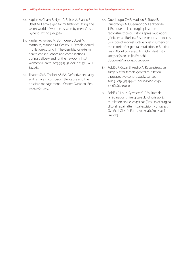- 83. Kaplan A, Cham B, Nije LA, Seixas A, Blanco S, Utzet M. Female genital mutilation/cutting: the secret world of women as seen by men. Obstet Gynecol Int. 2013:643780.
- 84. Kaplan A, Forbes M, Bonhoure I, Utzet M, Martín M, Manneh M, Ceesay H. Female genital mutilation/cutting in The Gambia: long-term health consequences and complications during delivery and for the newborn. Int J Women's Health. 2013;5:323-31. doi:10.2147/IJWH. S42064.
- 85. Thabet SMA, Thabet ASMA. Defective sexuality and female circumcision: the cause and the possible management. J Obstet Gynaecol Res. 2003;29(1):12–9.
- 86. Ouédraogo CMR, Madzou S, Touré B, Ouédraogo A, Ouédraogo S, Lankoandé J. Pratique de la chirurgie plastique reconstructrice du clitoris après mutilations génitales au Burkina Faso. À propos de 94 cas [Practice of reconstructive plastic surgery of the clitoris after genital mutilation in Burkina Faso. About 94 cases]. Ann Chir Plast Esth. 2013;58(3):208–15 [in French]. doi:10.1016/j.anplas.2012.04.004
- 87. Foldès P, Cuzin B, Andro A. Reconstructive surgery after female genital mutilation: a prospective cohort study. Lancet. 2012;380(9837):134–41. doi:10.1016/S0140- 6736(12)60400-0.
- 88. Foldès P, Louis-Sylvestre C. Résultats de la réparation chirurgicale du clitoris après mutilation sexuelle: 453 cas [Results of surgical clitoral repair after ritual excision: 453 cases]. Gynécol Obstét Fertil. 2006;34(12):1137–41 [in French].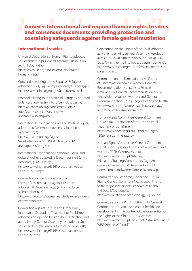# Annex 1: International and regional human rights treaties and consensus documents providing protection and containing safeguards against female genital mutilation

# International treaties

Universal Declaration of Human Rights, adopted 10 December 1948. General Assembly Resolution 217. UN Doc. A/810. http://www.un.org/en/universal-declaration-

human-rights/

Convention relating to the Status of Refugees, adopted 28 July 1951 (entry into force, 22 April 1954). http://www.unhcr.org/pages/49da0e466.html

Protocol relating to the Status of Refugees, adopted 31 January 1967 (entry into force, 4 October 1967). https://treaties.un.org/pages/ViewDetails. aspx?src=TREATY&mtdsg\_no=V-5&chapter=5&lang=en

International Covenant on Civil and Political Rights, adopted 16 December 1966 (entry into force, 23 March 1976). https://treaties.un.org/Pages/ ViewDetails.aspx?src=IND&mtdsg\_no=IV-4&chapter=4&lang=en

International Covenant on Economic, Social and Cultural Rights, adopted 16 December 1966 (entry into force, 3 January 1976). http://www.ohchr.org/EN/ProfessionalInterest/ Pages/CESCR.aspx

Convention on the Elimination of all Forms of Discrimination against Women, adopted 18 December 1979 (entry into force, 3 September 1981). http://www.un.org/womenwatch/daw/cedaw/text/ econvention htm

Convention against Torture and Other Cruel, Inhuman or Degrading Treatment or Punishment, adopted and opened for signature, ratification and accession by General Assembly resolution 39/46 of 10 December 1984 (entry into force, 26 June 1987). http://www.ohchr.org/EN/ProfessionalInterest/ Pages/CAT.aspx

Convention on the Rights of the Child, adopted 20 November 1989. General Assembly Resolution 44/25. UN GAOR 44th session, Supp. No. 49. UN Doc. A/44/49 (entry into force, 2 September 1990). http://www.ohchr.org/en/professionalinterest/ pages/crc.aspx

Committee on the Elimination of All Forms of Discrimination against Women. General Recommendation No. 14, 1990, Female circumcision; General Recommendation No. 19, 1992, Violence against women; and General Recommendation No. 24, 1999, Women and health. http://www.un.org/womenwatch/daw/cedaw/ recommendations/recomm.htm

Human Rights Committee. General Comment No. 20, 1992. Prohibition of torture and cruel treatment or punishment. http://www.ohchr.org/EN/HRBodies/Pages/ TBGeneralComments.aspx

Human Rights Committee. General Comment No. 28, 2000. Equality of rights between men and women. CCPR/C/21/rev.1/Add.10. http://www.ohchr.org/EN/Issues/ Education/Training/Compilation/Pages/b) GeneralCommentNo28Theequalityofrights betweenmenandwomen(article3)(2000).aspx

Committee on Economic, Social and Cultural Rights. General Comment No. 14, 2000. The right to the highest attainable standard of health. UN Doc. E/C.12/2000/4. http://www.refworld.org/pdfid/4538838d0.pdf

Committee on the Rights of the Child. General Comment No. 4, 2003. Adolescent health and development in the context of the Convention on the Rights of the Child. CRC/GC/2003/4. http://www.ohchr.org/Documents/Issues/Women/ WRGS/Health/GC4.pdf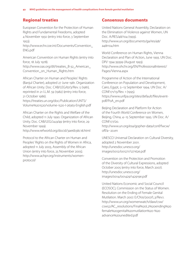# Regional treaties

European Convention for the Protection of Human Rights and Fundamental Freedoms, adopted 4 November 1950 (entry into force, 3 September 1953).

http://www.echr.coe.int/Documents/Convention\_ ENG.pdf

American Convention on Human Rights (entry into force, 18 July 1978).

http://www.oas.org/dil/treaties\_B-32\_American\_ Convention\_on\_Human\_Rights.htm

African Charter on Human and Peoples' Rights (Banjul Charter), adopted 27 June 1981. Organization of African Unity. Doc. CAB/LEG/67/3/Rev. 5 (1981), reprinted in 21 I.L.M. 59 (1982) (entry into force, 21 October 1986).

https://treaties.un.org/doc/Publication/UNTS/ Volume%201520/volume-1520-I-26363-English.pdf

African Charter on the Rights and Welfare of the Child, adopted 11 July 1990. Organization of African Unity. Doc. CAB/LEG/24.9/49 (entry into force, 29 November 1999).

http://www.refworld.org/docid/3ae6b38c18.html

Protocol to the African Charter on Human and Peoples' Rights on the Rights of Women in Africa, adopted 11 July 2003, Assembly of the African Union (entry into force, 25 November 2005). http://www.achpr.org/instruments/womenprotocol/

# Consensus documents

United Nations General Assembly, Declaration on the Elimination of Violence against Women, UN Doc. A/RES/48/104 (1993). http://www.un.org/documents/ga/res/48/ a48r104.htm

World Conference on Human Rights, Vienna Declaration and Plan of Action, June 1993. UN Doc. DPI/ 1394-39399 (August 1993). http://www.ohchr.org/EN/ProfessionalInterest/ Pages/Vienna.aspx

Programme of Action of the International Conference on Population and Development, Cairo, Egypt, 5−13 September 1994. UN Doc. A/ CONF.171/13/Rev. 1 (1995). https://www.unfpa.org/sites/default/files/eventpdf/PoA\_en.pdf

Beijing Declaration and Platform for Action of the Fourth World Conference on Women, Beijing, China, 4−15 September 1995. UN Doc. A/ CONF.177/20. http://www.un.org/esa/gopher-data/conf/fwcw/ off/a--20.en

UNESCO Universal Declaration on Cultural Diversity, adopted 2 November 2001. http://unesdoc.unesco.org/ images/0012/001271/127162e.pdf

Convention on the Protection and Promotion of the Diversity of Cultural Expressions, adopted October 2005 (entry into force, March 2007). http://unesdoc.unesco.org/ images/0014/001429/142919e.pdf

United Nations Economic and Social Council (ECOSOC), Commission on the Status of Women. Resolution on the Ending of Female Genital Mutilation. March 2007. E/CN.6/2007/L.3/Rev.1. http://www.un.org/womenwatch/daw/csw/ csw52/AC\_resolutions/Final%20L2%20ending%20 female%20genital%20mutilation%20-%20 advance%20unedited.pdf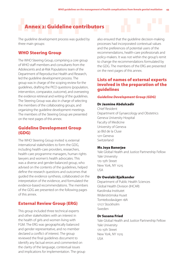# Annex 2: Guideline contributors

The guideline development process was guided by three main groups:

# WHO Steering Group

The WHO Steering Group, comprising a core group of WHO staff members and consultants from the Adolescents and at-Risk Populations team of the Department of Reproductive Health and Research, led the guideline development process. The group was in charge of the scoping review for the guidelines, drafting the PICO questions (population, intervention, comparator, outcome), and overseeing the evidence retrieval and writing of the guidelines. The Steering Group was also in charge of selecting the members of the collaborating groups, and organizing the guideline development meetings. The members of the Steering Group are presented on the next pages of this annex.

# Guideline Development Group (GDG)

The WHO Steering Group invited 15 external international stakeholders to form the GDG, including health-care providers, researchers, health-care programme managers, human rights lawyers and women's health advocates. This was a diverse and gender-balanced group, who advised on the contents of the guidelines, helped define the research questions and outcomes that guided the evidence synthesis, collaborated on the interpretation of the evidence, and formulated the evidence-based recommendations. The members of the GDG are presented on the following pages of this annex.

# External Review Group (ERG)

This group included three technical experts and other stakeholders with an interest in the health of girls and women living with FGM. The ERG was geographically balanced and gender representative, and no member declared a conflict of interest. The group reviewed the final guidelines document to identify any factual errors and commented on the clarity of the language, contextual issues and implications for implementation. The group also ensured that the guideline decision-making processes had incorporated contextual values and the preferences of potential users of the recommendations, health-care professionals and policy-makers. It was not within the group's remit to change the recommendations formulated by the GDG. The members of the ERG are presented on the next pages of this annex.

# Lists of names of external experts involved in the preparation of the guidelines

#### *Guideline Development Group (GDG)*

# Dr Jasmine Abdulcadir

Chief Resident Department of Gynaecology and Obstetrics Geneva University Hospital Faculty of Medicine University of Geneva 30 Bld de la Cluse 1211 Geneva Switzerland

#### Ms Joya Banerjee

Yale Global Health and Justice Partnership Fellow Yale University 170 15th Street New York, NY 11215 USA

#### Dr Owolabi Bjalkander

Department of Public Health Sciences Global Health Division (IHCAR) Karolinska Institutet Widerströmska Huset Tomtebodavägen 18A 17177 Stockholm Sweden

#### Dr Susana Fried

Yale Global Health and Justice Partnership Fellow Yale University 170 15th Street New York, NY 11215 USA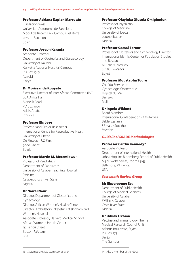# Professor Adriana Kaplan Marcusán

Fundación Wassu Universitat Autònoma de Barcelona Módul de Recerca A – Campus Bellaterra 08193 – Barcelona Spain

# Professor Joseph Karanja

Associate Professor Department of Obstetrics and Gynaecology University of Nairobi Kenyatta National Hospital Campus PO Box 19676 Nairobi Kenya

# Dr Morissanda Kouyaté

Executive Director of Inter-African Committee (IAC) ECA Africa Hall Menelik Road PO Box 3001 Addis Ababa Ethiopia

# Professor Els Leye

Professor and Senior Researcher International Centre for Reproductive Health University of Ghent De Pintelaan UZ P114 9000 Ghent Belgium

# Professor Martin M. Meremikwu<sup>13</sup>

Professor of Paediatrics Department of Paediatrics University of Calabar Teaching Hospital PMB 1115 Calabar, Cross River State **Nigeria** 

# Dr Nawal Nour

Director, Department of Obstetrics and Gynecology Director, African Women's Health Center Director, Ambulatory Obstetrics at Brigham and Women's Hospital Associate Professor, Harvard Medical School African Women's Health Center 75 Francis Street Boston, MA 02115 USA

# Professor Olayinka Olusola Omigbodun

Professor of Psychiatry College of Medicine University of Ibadan 200010 Ibadan Nigeria

# Professor Gamal Serour

Professor of Obstetrics and Gynaecology Director International Islamic Center for Population Studies and Research Al Azhar University SE1 8ST – Maadi Egypt

## Professor Moustapha Toure

Chef du Service de Gynecologie Obstetrique Hôpital du Mali Bamako Mali

# Dr Ingela Wiklund

Board Member International Confederation of Midwives Baldersgatan 1 SE-114 27 Stockholm Sweden

# *Guideline/GRADE Methodologist*

# Professor Caitlin Kennedy<sup>14</sup>

Associate Professor Department of International Health Johns Hopkins Bloomberg School of Public Health 615 N. Wolfe Street, Room E5033 Baltimore, MD 21205 USA

# *Systematic Review Group*

# Mr Ekpereonne Esu

Department of Public Health College of Medical Sciences University of Calabar PMB 1115, Calabar Cross River State Nigeria

# Dr Uduak Okomo

Vaccine and Immunology Theme Medical Research Council Unit Atlantic Boulevard, Fajara PO Box 273 Banjul The Gambia

<sup>13</sup> Systematic review team coordinator

<sup>14</sup> Also a member of the GDG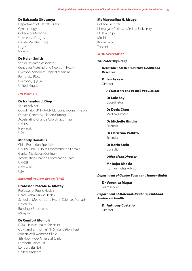#### Dr Babasola Okusanya

Department of Obstetrics and Gynaecology College of Medicine University of Lagos Private Mail Bag 12003 Lagos Nigeria

# Dr Helen Smith

Senior Research Associate Centre for Maternal and Newborn Health Liverpool School of Tropical Medicine Pembroke Place Liverpool, L3 5QA United Kingdom

#### *UN Partners*

#### Dr Nafissatou J. Diop

Senior Adviser Coordinator UNFPA–UNICEF Joint Programme on Female Genital Mutilation/Cutting Accelerating Change Coordination Team UNFPA New York USA

## Mr Cody Donahue

Child Protection Specialist UNFPA–UNICEF Joint Programme on Female Genital Mutilation/Cutting Accelerating Change Coordination Team UNICEF New York USA

# *External Review Group (ERG)*

# Professor Pascale A. Allotey

Professor of Public Health Head Global Public Health School of Medicine and Health Sciences Monash University Building 3 Room 02-03 Malaysia

# Dr Comfort Momoh

FGM – Public Health Specialist Guy's and St Thomas' NHS Foundation Trust African Well Women's Clinic 8th Floor – c/o Antenatal Clinic Lambeth Palace Rd London, SE1 7EH United Kingdom

#### Ms Marycelina H. Msuya

College Lecturer Kilimanjaro Christian Medical University PO Box 2240 Moshi Kilimanjaro Tanzania

#### *WHO Secretariat*

#### *WHO Steering Group*

*Department of Reproductive Health and Research* 

Dr Ian Askew Director

*Adolescents and at-Risk Populations*

Dr Lale Say Coordinator

Dr Doris Chou Medical Officer

Dr Michelle Hindin Scientist

Dr Christina Pallitto Scientist

Dr Karin Stein Consultant

*Office of the Director*

Mr Rajat Khosla Human Rights Advisor

### *Department of Gender Equity and Human Rights*

Dr Veronica Magar Team leader

*Department of Maternal, Newborn, Child and Adolescent Health*

Dr Anthony Costello Director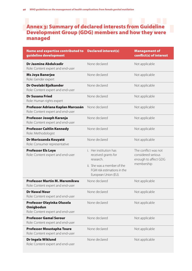# Annex 3: Summary of declared interests from Guideline Development Group (GDG) members and how they were managed

| Name and expertise contributed to<br>guideline development                          | <b>Declared interest(s)</b>                                                        | <b>Management of</b><br>conflict(s) of interest                    |
|-------------------------------------------------------------------------------------|------------------------------------------------------------------------------------|--------------------------------------------------------------------|
| <b>Dr Jasmine Abdulcadir</b><br>Role: Content expert and end-user                   | None declared                                                                      | Not applicable                                                     |
| <b>Ms Joya Banerjee</b><br>Role: Gender expert                                      | None declared                                                                      | Not applicable                                                     |
| Dr Owolabi Bjalkander<br>Role: Content expert and end-user                          | None declared                                                                      | Not applicable                                                     |
| <b>Dr Susana Fried</b><br>Role: Human rights expert                                 | None declared                                                                      | Not applicable                                                     |
| Professor Adriana Kaplan Marcusán<br>Role: Content expert and end-user              | None declared                                                                      | Not applicable                                                     |
| Professor Joseph Karanja<br>Role: Content expert and end-user                       | None declared                                                                      | Not applicable                                                     |
| <b>Professor Caitlin Kennedy</b><br>Role: Methodologist                             | None declared                                                                      | Not applicable                                                     |
| Dr Morissanda Kouyaté<br>Role: Consumer representative                              | None declared                                                                      | Not applicable                                                     |
| <b>Professor Els Leye</b><br>Role: Content expert and end-user                      | i. Her institution has<br>received grants for<br>research.                         | The conflict was not<br>considered serious<br>enough to affect GDG |
|                                                                                     | ii. She was a member of the<br>FGM risk estimations in the<br>European Union (EU). | membership                                                         |
| <b>Professor Martin M. Meremikwu</b><br>Role: Content expert and end-user           | None declared                                                                      | Not applicable                                                     |
| <b>Dr Nawal Nour</b><br>Role: Content expert and end-user                           | None declared                                                                      | Not applicable                                                     |
| Professor Olayinka Olusola<br><b>Omigbodun</b><br>Role: Content expert and end-user | None declared                                                                      | Not applicable                                                     |
| <b>Professor Gamal Serour</b><br>Role: Content expert and end-user                  | None declared                                                                      | Not applicable                                                     |
| <b>Professor Moustapha Toure</b><br>Role: Content expert and end-user               | None declared                                                                      | Not applicable                                                     |
| Dr Ingela Wiklund<br>Role: Content expert and end-user                              | None declared                                                                      | Not applicable                                                     |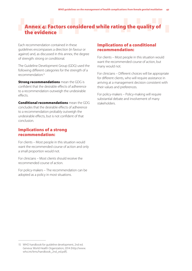# Annex 4: Factors considered while rating the quality of the evidence

Each recommendation contained in these guidelines encompasses a direction (in favour or against) and, as discussed in this annex, the degree of strength: strong or conditional.

The Guideline Development Group (GDG) used the following different categories for the strength of a recommendation:15

**Strong recommendations** mean the GDG is confident that the desirable effects of adherence to a recommendation outweigh the undesirable effects.

Conditional recommendations mean the GDG concludes that the desirable effects of adherence to a recommendation probably outweigh the undesirable effects, but is not confident of that conclusion.

# Implications of a strong recommendation:

For clients – Most people in this situation would want the recommended course of action and only a small proportion would not.

For clinicians – Most clients should receive the recommended course of action.

For policy-makers – The recommendation can be adopted as a policy in most situations.

# Implications of a conditional recommendation:

For clients – Most people in this situation would want the recommended course of action, but many would not.

For clinicians – Different choices will be appropriate for different clients, who will require assistance in arriving at a management decision consistent with their values and preferences.

For policy-makers – Policy-making will require substantial debate and involvement of many stakeholders.

<sup>15</sup> WHO handbook for guideline development, 2nd ed. Geneva: World Health Organization; 2014 (http://www. who.int/kms/handbook\_2nd\_ed.pdf).